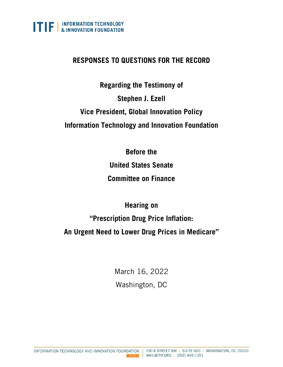

## **RESPONSES TO QUESTIONS FOR THE RECORD**

**Regarding the Testimony of Stephen J. Ezell Vice President, Global Innovation Policy Information Technology and Innovation Foundation**

**Before the** 

**United States Senate** 

**Committee on Finance**

**Hearing on "Prescription Drug Price Inflation: An Urgent Need to Lower Drug Prices in Medicare"**

> March 16, 2022 Washington, DC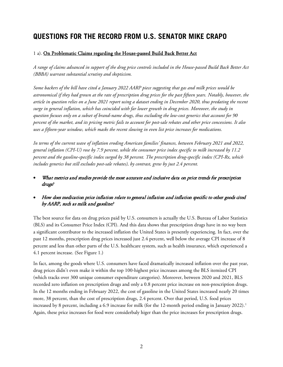# **QUESTIONS FOR THE RECORD FROM U.S. SENATOR MIKE CRAPO**

#### 1 a). On Problematic Claims regarding the House-passed Build Back Better Act

*A range of claims advanced in support of the drug price controls included in the House-passed Build Back Better Act (BBBA) warrant substantial scrutiny and skepticism.*

*Some backers of the bill have cited a January 2022 AARP piece suggesting that gas and milk prices would be astronomical if they had grown at the rate of prescription drug prices for the past fifteen years. Notably, however, the article in question relies on a June 2021 report using a dataset ending in December 2020, thus predating the recent surge in general inflation, which has coincided with far lower growth in drug prices. Moreover, the study in question focuses only on a subset of brand-name drugs, thus excluding the low-cost generics that account for 90 percent of the market, and its pricing metric fails to account for post-sale rebates and other price concessions. It also uses a fifteen-year window, which masks the recent slowing in even list price increases for medications.* 

*In terms of the current wave of inflation eroding American families' finances, between February 2021 and 2022, general inflation (CPI-U) rose by 7.9 percent, while the consumer price index specific to milk increased by 11.2 percent and the gasoline-specific index surged by 38 percent. The prescription drug-specific index (CPI-Rx, which*  includes generics but still excludes post-sale rebates), by contrast, grew by just 2.4 percent.

- What metrics and studies provide the most accurate and inclusive data on price trends for prescription drugs?
- How does medication price inflation relate to general inflation and inflation specific to other goods cited by AARP, such as milk and gasoline?

The best source for data on drug prices paid by U.S. consumers is actually the U.S. Bureau of Labor Statistics (BLS) and its Consumer Price Index (CPI). And this data shows that prescription drugs have in no way been a significant contributor to the increased inflation the United States is presently experiencing. In fact, over the past 12 months, prescription drug prices increased just 2.4 percent, well below the average CPI increase of 8 percent and less than other parts of the U.S. healthcare system, such as health insurance, which experienced a 4.1 percent increase. (See [Figure 1.](#page-2-0))

In fact, among the goods where U.S. consumers have faced dramatically increased inflation over the past year, drug prices didn't even make it within the top 100-highest price increases among the BLS itemized CPI (which tracks over 300 unique consumer expenditure categories). Moreover, between 2020 and 2021, BLS recorded zero inflation on prescription drugs and only a 0.8 percent price increase on non-prescription drugs. In the 12 months ending in February 2022, the cost of gasoline in the United States increased nearly 20 times more, 38 percent, than the cost of prescription drugs, 2.4 percent. Over that period, U.S. food prices increased by 8 percent, including a 6.9 increase for milk (for the [1](#page-31-0)2-month period ending in January 2022).<sup>1</sup> Again, these price increases for food were considerbaly higer than the price increases for prescription drugs.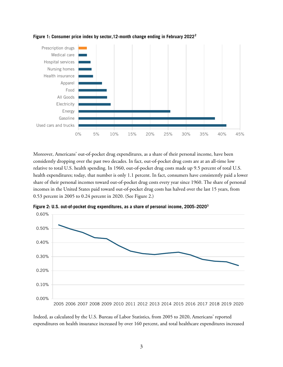

<span id="page-2-0"></span>**Figure 1: Consumer price index by sector,12-month change ending in February 2022[2](#page-31-1)**

Moreover, Americans' out-of-pocket drug expenditures, as a share of their personal income, have been considently dropping over the past two decades. In fact, out-of-pocket drug costs are at an all-time low relative to total U.S. health spending. In 1960, out-of-pocket drug costs made up 9.5 percent of total U.S. health expenditures; today, that number is only 1.1 percent. In fact, consumers have consistently paid a lower share of their personal incomes toward out-of-pocket drug costs every year since 1960. The share of personal incomes in the United States paid toward out-of-pocket drug costs has halved over the last 15 years, from 0.53 percent in 2005 to 0.24 percent in 2020. (See [Figure 2.](#page-2-1))



<span id="page-2-1"></span>**Figure 2: U.S. out-of-pocket drug expenditures, as a share of personal income, 2005–2020[3](#page-31-2)**

Indeed, as calculated by the U.S. Bureau of Labor Statistics, from 2005 to 2020, Americans' reported expenditures on health insurance increased by over 160 percent, and total healthcare expenditures increased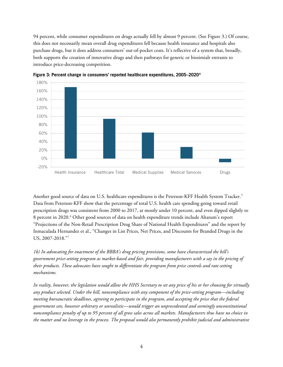94 percent, while consumer expenditures on drugs actually fell by almost 9 percent. (See [Figure 3.](#page-3-0)) Of course, this does not necessarily mean overall drug expenditures fell because health insurance and hospitals also purchase drugs, but it does address consumers' out-of-pocket costs. It's reflective of a system that, broadly, both supports the creation of innovative drugs and then pathways for generic or biosimialr entrants to introduce price-decreasing competition.



<span id="page-3-0"></span>**Figure 3: Percent change in consumers' reported healthcare expenditures, 2005–2020[4](#page-31-3)**

Another good source of data on U.S. healthcare expenditures is the Peterson-KFF Health System Tracker.<sup>[5](#page-31-4)</sup> Data from Peterson-KFF show that the percentage of total U.S. health care spending going toward retail prescription drugs was consistent from 2000 to 2017, at mostly under 10 percent, and even dipped slightly to 8 percent in 2020.<sup>[6](#page-31-5)</sup> Other good sources of data on health expenditure trends include Altarum's report "Projections of the Non-Retail Prescription Drug Share of National Health Expenditures" and the report by Inmaculada Hernandez et al., "Changes in List Prices, Net Prices, and Discounts for Branded Drugs in the US, 2007-2018."[7](#page-31-6)

*1b) In advocating for enactment of the BBBA's drug pricing provisions, some have characterized the bill's government price-setting program as market-based and fair, providing manufacturers with a say in the pricing of their products. These advocates have sought to differentiate the program from price controls and rate-setting mechanisms.* 

*In reality, however, the legislation would allow the HHS Secretary to set any price of his or her choosing for virtually any product selected. Under the bill, noncompliance with any component of the price-setting program—including meeting bureaucratic deadlines, agreeing to participate in the program, and accepting the price that the federal government sets, however arbitrary or unrealistic—would trigger an unprecedented and seemingly unconstitutional noncompliance penalty of up to 95 percent of all gross sales across all markets. Manufacturers thus have no choice in the matter and no leverage in the process. The proposal would also permanently prohibit judicial and administrative*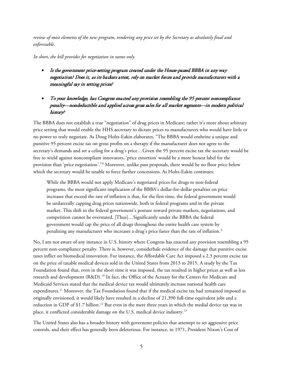*review of most elements of the new program, rendering any price set by the Secretary as absolutely final and enforceable.*

*In short, the bill provides for negotiation in name only.* 

- Is the government price-setting program created under the House-passed BBBA in any way negotiation? Does it, as its backers attest, rely on market forces and provide manufacturers with a meaningful say in setting prices?
- To your knowledge, has Congress enacted any provision resembling the 95 percent noncompliance penalty—nondeductible and applied across gross sales for all market segments—in modern political history?

The BBBA does not establish a true "negotiation" of drug prices in Medicare; rather it's more about arbitrary price setting that would enable the HHS aecretary to dictate prices to manufacturers who would have little or no power to truly negotiate. As Doug Holtz-Eakin elaborates, "The BBBA would enshrine a unique and punitive 95 percent excise tax on gross profits on a therapy if the manufacturer does not agree to the secretary's demands and set a celing for a drug's price…Given the 95 percent excise tax the secretary would be free to wield against noncompliant innovators, 'price extortion' would be a more honest label for the provision than 'price negotiation'."[8](#page-31-7) Moreover, unlike past proposals, there would be no floor price below which the secretary would be unable to force further concessions. As Holtz-Eakin continues:

While the BBBA would not apply Medicare's negotiated prices for drugs to non-federal programs, the most significant implication of the BBBA's dollar-for-dollar penalties on price increases that exceed the rate of inflation is that, for the first time, the federal government would be unilaterally capping drug prices nationwide, both in federal programs and in the private market. This shift in the federal government's posture toward private markets, negotiations, and competition cannot be overstated. [Thus]…Significantly under the BBBA the federal government would cap the price of all drugs throughout the entire health care system by penalizing any manufacturer who increases a drug's price faster than the rate of inflation.<sup>[9](#page-31-8)</sup>

No, I am not aware of any instance in U.S. history where Congress has enacted any provision resembling a 95 percent non-compliance penalty. There is, however, considerbale evidence of the damage that punitive excise taxes inflict on biomedical innovation. For instance, the Affordable Care Act imposed a 2.3 percent excise tax on the price of taxable medical devices sold in the United States from 2013 to 2015. A study by the Tax Foundation found that, even in the short time it was imposed, the tax resulted in higher prices as well as less research and development (R&D). [10](#page-31-9) In fact, the Office of the Actuary for the Centers for Medicare and Medicaid Services stated that the medical device tax would ultimately increase national health care expenditures.<sup>[11](#page-31-10)</sup> Moreover, the Tax Foundation found that if the medical excise tax had remained imposed as originally envisioned, it would likely have resulted in a decline of 21,390 full-time equivalent jobs and a reduction in GDP of \$1.7 billion.<sup>[12](#page-31-11)</sup> But even in the mere three years in which the medial device tax was in place, it conflicted considerable damage on the U.S. medical device industry.[13](#page-31-12)

The United States also has a broader history with governemt policies that attemtpt to set aggressive price controls, and their effect has generally been deleterious. For instance, in 1971, President Nixon's Cost of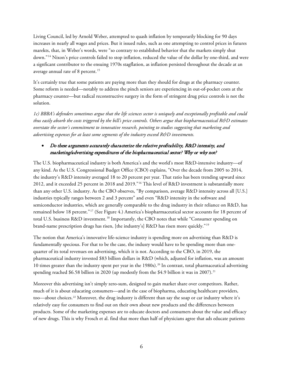Living Council, led by Arnold Weber, attempted to quash inflation by temporarily blocking for 90 days increases in nearly all wages and prices. But it issued rules, such as one attempting to control prices in futures marekts, that, in Weber's words, were "so contrary to established behavior that the markets simply shut down."[14](#page-31-13) Nixon's price controls failed to stop inflation, reduced the value of the dollar by one-third, and were a signficant contributor to the ensuing 1970s stagflation, as inflation persisted throughout the decade at an average annual rate of 8 percent.<sup>[15](#page-31-14)</sup>

It's certainly true that some patients are paying more than they should for drugs at the pharmacy counter. Some reform is needed—notably to address the pinch seniors are experiencing in out-of-pocket costs at the pharmacy counter—but radical reconstructive surgery in the form of stringent drug price controls is not the solution.

*1c) BBBA's defenders sometimes argue that the life sciences sector is uniquely and exceptionally profitable and could thus easily absorb the costs triggered by the bill's price controls. Others argue that biopharmaceutical R&D estimates overstate the sector's commitment to innovative research, pointing to studies suggesting that marketing and advertising expenses for at least some segments of the industry exceed R&D investments.* 

## • Do these arguments accurately characterize the relative profitability, R&D intensity, and marketing/advertising expenditures of the biopharmaceutical sector? Why or why not?

The U.S. biopharmaceutical industry is both America's and the world's most R&D-intensive industry—of any kind. As the U.S. Congressional Budget Office (CBO) explains, "Over the decade from 2005 to 2014, the industry's R&D intensity averaged 18 to 20 percent per year. That ratio has been trending upward since 2012, and it exceeded 25 percent in 2018 and 2019."[16](#page-31-15) This level of R&D investment is substantially more than any other U.S. industry. As the CBO observes, "By comparison, average R&D intensity across all [U.S.] industries typically ranges between 2 and 3 percent" and even "R&D intensity in the software and semiconductor industries, which are generally comparable to the drug industry in their reliance on R&D, has remained below 18 percent."[17](#page-31-16) (See [Figure 4.](#page-6-0)) America's biopharmaceutical sector accounts for 18 percent of total U.S. business R&D investment.<sup>[18](#page-31-17)</sup> Importantly, the CBO notes that while "Consumer spending on brand-name prescription drugs has risen, [the industry's] R&D has risen more quickly."[19](#page-32-0)

The notion that America's innovative life-science industry is spending more on advertising than R&D is fundamentally specious. For that to be the case, the indusry would have to be spending more than onequarter of its total revenues on advertising, which it is not. According to the CBO, in 2019, the pharmaceutical industry invested \$83 billion dollars in R&D (which, adjusted for inflation, was an amount 10 times greater than the industry spent per year in the 1980s).[20](#page-32-1) In contrast, total pharmaceutical advertising spending reached \$6.58 billion in 2020 (up modestly from the \$4.9 billion it was in 2007).<sup>[21](#page-32-2)</sup>

Moreover this advertising isn't simply zero-sum, designed to gain market share over competitors. Rather, much of it is about educating consumers—and in the case of biopharma, educating healthcare providers, too—about choices.<sup>[22](#page-32-3)</sup> Moreover, the drug industry is different than say the soap or car industry where it's relatively easy for consumers to find out on their own about new products and the differences between products. Some of the marketing expenses are to educate doctors and consumers about the value and efficacy of new drugs. This is why Frosch et al. find that more than half of physicians agree that ads educate patients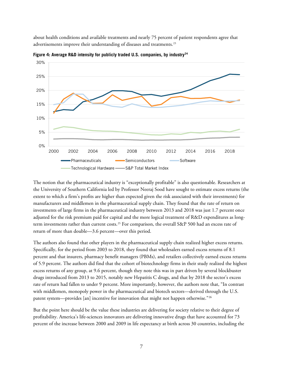about health conditions and available treatments and nearly 75 percent of patient respondents agree that advertisements improve their understanding of diseases and treatments.<sup>[23](#page-32-4)</sup>



<span id="page-6-0"></span>**Figure 4: Average R&D intensity for publicly traded U.S. companies, by industry[24](#page-32-5)**

The notion that the pharmaceutical industry is "exceptionally profitable" is also questionable. Researchers at the University of Southern California led by Professor Neeraj Sood have sought to estimate excess returns (the extent to which a firm's profits are higher than expected given the risk associated with their investments) for manufacturers and middlemen in the pharmaceutical supply chain. They found that the rate of return on investments of large firms in the pharmaceutical industry between 2013 and 2018 was just 1.7 percent once adjusted for the risk premium paid for capital and the more logical treatment of R&D expenditures as long-term investments rather than current costs.<sup>[25](#page-32-6)</sup> For comparison, the overall S&P 500 had an excess rate of return of more than double—3.6 percent—over this period.

The authors also found that other players in the pharmaceutical supply chain realized higher excess returns. Specifically, for the period from 2003 to 2018, they found that wholesalers earned excess returns of 8.1 percent and that insurers, pharmacy benefit managers (PBMs), and retailers collectively earned excess returns of 5.9 percent. The authors did find that the cohort of biotechnology firms in their study realized the highest excess returns of any group, at 9.6 percent, though they note this was in part driven by several blockbuster drugs introduced from 2013 to 2015, notably new Hepatitis C drugs, and that by 2018 the sector's excess rate of return had fallen to under 9 percent. More importantly, however, the authors note that, "In contrast with middlemen, monopoly power in the pharmaceutical and biotech sectors—derived through the U.S. patent system—provides [an] incentive for innovation that might not happen otherwise."<sup>[26](#page-32-7)</sup>

But the point here should be the value these industries are delivering for society relative to their degree of profitability. America's life-sciences innovators are delivering innovative drugs that have accounted for 73 percent of the increase between 2000 and 2009 in life expectancy at birth across 30 countries, including the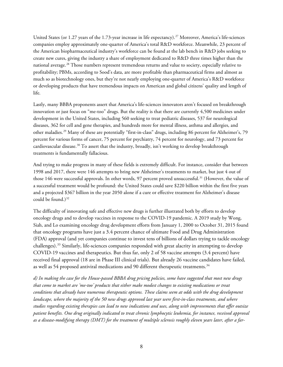United States (or 1.27 years of the 1.73-year increase in life expectancy). [27](#page-32-8) Moreover, America's life-sciences companies employ approximately one-quarter of America's total R&D workforce. Meanwhile, 23 percent of the American biopharmaceutical industry's workforce can be found at the lab bench in R&D jobs seeking to create new cures, giving the industry a share of employment dedicated to R&D three times higher than the national average.[28](#page-32-9) Those numbers represent tremendous returns and value to society, especially relative to profitability; PBMs, according to Sood's data, are more profitable than pharmaceutical firms and almost as much so as biotechnology ones, but they're not nearly employing one-quarter of America's R&D workforce or developing products that have tremendous impacts on American and global citizens' quality and length of life.

Lastly, many BBBA proponents assert that America's life-sciences innovators aren't focused on breakthrough innovation or just focus on "me-too" drugs. But the reality is that there are currently 4,500 medicines under development in the United States, including 560 seeking to treat pediatric diseases, 537 for neurological diseases, 362 for cell and gene therapies, and hundreds more for mental illness, asthma and allergies, and other maladies.[29](#page-32-10) Many of these are potentially "first-in-class" drugs, including 86 percent for Alzheimer's, 79 percent for various forms of cancer, 75 percent for psychiatry, 74 percent for neurology, and 73 percent for cardiovascular disease.<sup>[30](#page-32-11)</sup> To assert that the industry, broadly, isn't working to develop breakthrough treatments is fundamentally fallacious.

And trying to make progress in many of these fields is extremely difficult. For instance, consider that between 1998 and 2017, there were 146 attempts to bring new Alzheimer's treatments to market, but just 4 out of those 146 were successful approvals. In other words, 97 percent proved unsuccessful.<sup>[31](#page-32-12)</sup> (However, the value of a successful treatment would be profound: the United States could save \$220 billion within the first five years and a projected \$367 billion in the year 2050 alone if a cure or effective treatment for Alzheimer's disease could be found.) $32$ 

The difficulty of innovating safe and effective new drugs is further illustrated both by efforts to develop oncology drugs and to develop vaccines in response to the COVID-19 pandemic. A 2019 study by Wong, Siah, and Lo examining oncology drug development efforts from January 1, 2000 to October 31, 2015 found that oncology programs have just a 3.4 percent chance of ultimate Food and Drug Administration (FDA) approval (and yet companies continue to invest tens of billions of dollars trying to tackle oncology challenges).<sup>[33](#page-32-14)</sup> Similarly, life-sciences companies responded with great alacrity in attempting to develop COVID-19 vaccines and therapeutics. But thus far, only 2 of 58 vaccine attempts (3.4 percent) have received final approval (18 are in Phase III clinical trials). But already 26 vaccine candidates have failed, as well as 54 proposed antiviral medications and 90 different therapeutic treatments.[34](#page-32-15)

*d) In making the case for the House-passed BBBA drug pricing policies, some have suggested that most new drugs that come to market are 'me-too' products that either make modest changes to existing medications or treat conditions that already have numerous therapeutic options. These claims seem at odds with the drug development landscape, where the majority of the 50 new drugs approved last year were first-in-class treatments, and where studies regarding existing therapies can lead to new indications and uses, along with improvements that offer outsize patient benefits. One drug originally indicated to treat chronic lymphocytic leukemia, for instance, received approval as a disease-modifying therapy (DMT) for the treatment of multiple sclerosis roughly eleven years later, after a far-*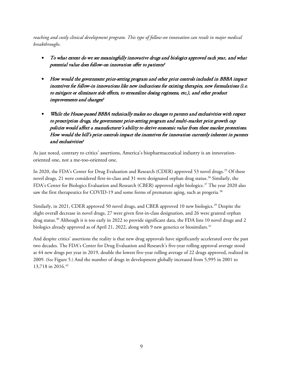*reaching and costly clinical development program. This type of follow-on innovation can result in major medical breakthroughs.* 

- To what extent do we see meaningfully innovative drugs and biologics approved each year, and what potential value does follow-on innovation offer to patients?
- How would the government price-setting program and other price controls included in BBBA impact incentives for follow-in innovations like new indications for existing therapies, new formulations (i.e. to mitigate or eliminate side effects, to streamline dosing regimens, etc.), and other product improvements and changes?
- While the House-passed BBBA technically makes no changes to patents and exclusivities with respect to prescription drugs, the government price-setting program and multi-market price growth cap policies would affect a manufacturer's ability to derive economic value from these market protections. How would the bill's price controls impact the incentives for innovation currently inherent in patents and exclusivities?

As just noted, contrary to critics' assertions, America's biopharmaceutical industry is an innovationoriented one, not a me-too-oriented one.

In 2020, the FDA's Center for Drug Evaluation and Research (CDER) approved 53 novel drugs.<sup>[35](#page-32-16)</sup> Of these novel drugs, 21 were considered first-in-class and 31 were designated orphan drug status.<sup>[36](#page-32-17)</sup> Similarly, the FDA's Center for Biologics Evaluation and Research (CBER) approved eight biologics.[37](#page-32-18) The year 2020 also saw the first therapeutics for COVID-19 and some forms of premature aging, such as progeria.<sup>[38](#page-33-0)</sup>

Similarly, in 2021, CDER approved 50 novel drugs, and CBER approved 10 new biologics.<sup>[39](#page-33-1)</sup> Despite the slight overall decrease in novel drugs, 27 were given first-in-class designation, and 26 were granted orphan drug status.<sup>[40](#page-33-2)</sup> Although it is too early in 2022 to provide significant data, the FDA lists 10 novel drugs and 2 biologics already approved as of April 21, 2022, along with 9 new generics or biosimilars.<sup>[41](#page-33-3)</sup>

And despite critics' assertions the reality is that new drug approvals have significantly accelerated over the past two decades. The FDA's Center for Drug Evaluation and Research's five-year rolling approval average stood at 44 new drugs per year in 2019, double the lowest five-year rolling average of 22 drugs approved, realized in 2009. (See [Figure 5.](#page-9-0)) And the number of drugs in development globally increased from 5,995 in 2001 to 13,718 in 2016.<sup>[42](#page-33-4)</sup>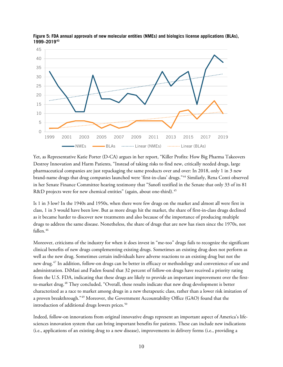

<span id="page-9-0"></span>**Figure 5: FDA annual approvals of new molecular entities (NMEs) and biologics license applications (BLAs), 1999–2019[43](#page-33-5)**

Yet, as Representative Katie Porter (D-CA) argues in her report, "Killer Profits: How Big Pharma Takeovers Destroy Innovation and Harm Patients, "Instead of taking risks to find new, critically needed drugs, large pharmaceutical companies are just repackaging the same products over and over: In 2018, only 1 in 3 new brand-name drugs that drug companies launched were 'first-in-class' drugs."[44](#page-33-6) Similarly, Rena Conti observed in her Senate Finance Committee hearing testimony that "Sanofi testified in the Senate that only 33 of its 81 R&D projects were for new chemical entities" (again, about one-third).<sup>[45](#page-33-7)</sup>

Is 1 in 3 low? In the 1940s and 1950s, when there were few drugs on the market and almost all were first in class, 1 in 3 would have been low. But as more drugs hit the market, the share of first-in-class drugs declined as it became harder to discover new treatments and also because of the importance of producing multiple drugs to address the same disease. Nonetheless, the share of drugs that are new has risen since the 1970s, not fallen.<sup>[46](#page-33-8)</sup>

Moreover, criticisms of the industry for when it does invest in "me-too" drugs fails to recognize the significant clinical benefits of new drugs complementing existing drugs. Sometimes an existing drug does not perform as well as the new drug. Sometimes certain individuals have adverse reactions to an existing drug but not the new drug.[47](#page-33-9) In addition, follow-on drugs can be better in efficacy or methodology and convenience of use and administration. DiMasi and Faden found that 32 percent of follow-on drugs have received a priority rating from the U.S. FDA, indicating that these drugs are likely to provide an important improvement over the firstto-market drug.[48](#page-33-10) They concluded, "Overall, these results indicate that new drug development is better characterized as a race to market among drugs in a new therapeutic class, rather than a lower risk imitation of a proven breakthrough."[49](#page-33-11) Moreover, the Government Accountability Office (GAO) found that the introduction of additional drugs lowers prices.<sup>[50](#page-33-12)</sup>

Indeed, follow-on innovations from original innovative drugs represent an important aspect of America's lifesciences innovation system that can bring important benefits for patients. These can include new indications (i.e., applications of an existing drug to a new disease), improvements in delivery forms (i.e., providing a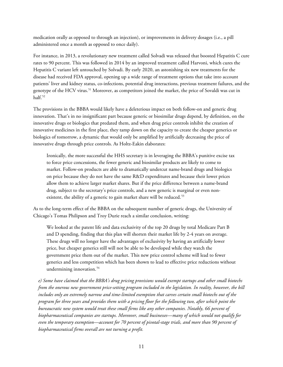medication orally as opposed to through an injection), or improvements in delivery dosages (i.e., a pill administered once a month as opposed to once daily).

For instance, in 2013, a revolutionary new treatment called Solvadi was released that boosted Hepatitis C cure rates to 90 percent. This was followed in 2014 by an improved treatment called Harvoni, which cures the Hepatitis C variant left untouched by Solvadi. By early 2020, an astonishing six new treatments for the disease had received FDA approval, opening up a wide range of treatment options that take into account patients' liver and kidney status, co-infections, potential drug interactions, previous treatment failures, and the genotype of the HCV virus.<sup>[51](#page-33-13)</sup> Moreover, as competitors joined the market, the price of Sovaldi was cut in half.<sup>[52](#page-33-14)</sup>

The provisions in the BBBA would likely have a deleterious impact on both follow-on and generic drug innovation. That's in no insignificant part because generic or biosimilar drugs depend, by definition, on the innovative drugs or biologics that predated them, and when drug price controls inhibit the creation of innovative medicines in the first place, they tamp down on the capacity to create the cheaper generics or biologics of tomorrow, a dynamic that would only be amplified by artificially decreasing the price of innovative drugs through price controls. As Holtz-Eakin elaborates:

Ironically, the more successful the HHS secretary is in leveraging the BBBA's punitive excise tax to force price concessions, the fewer generic and biosimilar products are likely to come to market. Follow-on products are able to dramatically undercut name-brand drugs and biologics on price because they do not have the same R&D expenditures and because their lower prices allow them to achieve larger market shares. But if the price difference between a name-brand drug, subject to the secretary's price controls, and a new generic is marginal or even non-existent, the ability of a generic to gain market share will be reduced.<sup>[53](#page-34-0)</sup>

As to the long-term effect of the BBBA on the subsequent number of generic drugs, the University of Chicago's Tomas Philipson and Troy Durie reach a similar conclusion, writing:

We looked at the patent life and data exclusivity of the top 20 drugs by total Medicare Part B and D spending, finding that this plan will shorten their market life by 2-4 years on average. These drugs will no longer have the advantages of exclusivity by having an artificially lower price, but cheaper generics still will not be able to be developed while they watch the government price them out of the market. This new price control scheme will lead to fewer generics and less competition which has been shown to lead to effective price reductions without undermining innovation.<sup>[54](#page-34-1)</sup>

*e) Some have claimed that the BBBA's drug pricing provisions would exempt startups and other small biotechs from the onerous new government price-setting program included in the legislation. In reality, however, the bill includes only an extremely narrow and time-limited exemption that carves certain small biotechs out of the program for three years and provides them with a pricing floor for the following two, after which point the bureaucratic new system would treat these small firms like any other companies. Notably, 66 percent of biopharmaceutical companies are startups. Moreover, small businesses—many of which would not qualify for even the temporary exemption—account for 70 percent of pivotal-stage trials, and more than 90 percent of biopharmaceutical firms overall are not turning a profit.*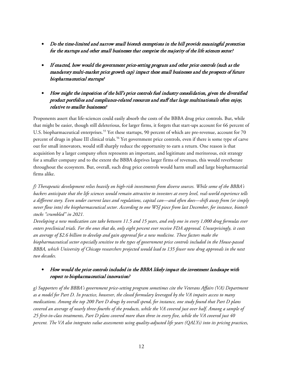- Do the time-limited and narrow small biotech exemptions in the bill provide meaningful protection for the startups and other small businesses that comprise the majority of the life sciences sector?
- If enacted, how would the government price-setting program and other price controls (such as the mandatory multi-market price growth cap) impact these small businesses and the prospects of future biopharmaceutical startups?
- How might the imposition of the bill's price controls fuel industry consolidation, given the diversified product portfolios and compliance-related resources and staff that large multinationals often enjoy, relative to smaller businesses?

Proponents assert that life-sciences could easily absorb the costs of the BBBA drug price controls. But, while that might be easier, though still deleterious, for larger firms, it forgets that start-ups account for 66 percent of U.S. biopharmaceutical enterprises. [55](#page-34-2) Yet these startups, 90 percent of which are pre-revenue, account for 70 percent of drugs in phase III clinical trials.<sup>[56](#page-34-3)</sup> Yet government price controls, even if there is some type of carve out for small innovators, would still sharply reduce the opportunity to earn a return. One reason is that acquisition by a larger company often represents an important, and legitimate and meritorous, exit strategy for a smaller company and to the extent the BBBA deprives larger firms of revenues, this would reverberate throughout the ecosystem. But, overall, such drug price controls would harm small and large biopharmacetial firms alike.

*f) Therapeutic development relies heavily on high-risk investments from diverse sources. While some of the BBBA's backers anticipate that the life sciences would remain attractive to investors at every level, real-world experience tells a different story. Even under current laws and regulations, capital can—and often does—shift away from (or simply never flow into) the biopharmaceutical sector. According to one WSJ piece from last December, for instance, biotech stocks "crumbled" in 2021.*

*Developing a new medication can take between 11.5 and 15 years, and only one in every 1,000 drug formulas ever enters preclinical trials. For the ones that do, only eight percent ever receive FDA approval. Unsurprisingly, it costs an average of \$2.6 billion to develop and gain approval for a new medicine. These factors make the biopharmaceutical sector especially sensitive to the types of government price controls included in the House-passed BBBA, which University of Chicago researchers projected would lead to 135 fewer new drug approvals in the next two decades.*

## • How would the price controls included in the BBBA likely impact the investment landscape with respect to biopharmaceutical innovation?

*g) Supporters of the BBBA's government price-setting program sometimes cite the Veterans Affairs (VA) Department as a model for Part D. In practice, however, the closed formulary leveraged by the VA impairs access to many medications. Among the top 200 Part D drugs by overall spend, for instance, one study found that Part D plans covered an average of nearly three-fourths of the products, while the VA covered just over half. Among a sample of 25 first-in-class treatments, Part D plans covered more than three in every five, while the VA covered just 40 percent. The VA also integrates value assessments using quality-adjusted life years (QALYs) into its pricing practices,*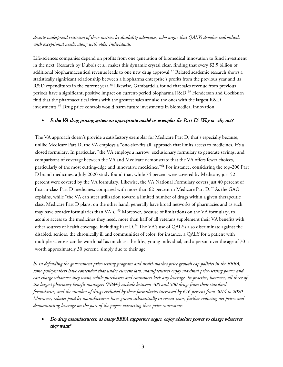## *despite widespread criticism of these metrics by disability advocates, who argue that QALYs devalue individuals with exceptional needs, along with older individuals.*

Life-sciences companies depend on profits from one generation of biomedical innovation to fund investment in the next. Research by Dubois et al. makes this dynamic crystal clear, finding that every \$2.5 billion of additional biopharmaceutical revenue leads to one new drug approval.<sup>[57](#page-34-4)</sup> Related academic research shows a statistically significant relationship between a biopharma enterprise's profits from the previous year and its R&D expenditures in the current year.<sup>[58](#page-34-5)</sup> Likewise, Gambardella found that sales revenue from previous periods have a significant, positive impact on current-period biopharma R&D. [59](#page-34-6) Henderson and Cockburn find that the pharmaceutical firms with the greatest sales are also the ones with the largest R&D investments. [60](#page-34-7) Drug price controls would harm future investments in biomedical innovation.

#### • Is the VA drug pricing system an appropriate model or exemplar for Part D? Why or why not?

The VA approach doesn't provide a satisfactory exemplar for Medicare Part D, that's especially because, unlike Medicare Part D, the VA employs a "one-size-fits all' approach that limits access to medicines. It's a closed formulary. In particular, "the VA employs a narrow, exclusionary formulary to generate savings, and comparisons of coverage between the VA and Medicare demonstrate that the VA offers fewer choices, particularly of the most cutting-edge and innovative medicines."[61](#page-34-8) For instance, considering the top-200 Part D brand medicines, a July 2020 study found that, while 74 percent were covered by Medicare, just 52 percent were covered by the VA formulary. Likewise, the VA National Formulary covers just 40 percent of first-in-class Part D medicines, compared with more than [62](#page-34-9) percent in Medicare Part D.<sup>62</sup> As the GAO explains, while "the VA can steer utilization toward a limited number of drugs within a given therapeutic class; Medicare Part D plans, on the other hand, generally have broad networks of pharmacies and as such may have broader formularies than VA's."[63](#page-34-10) Moreover, because of limitations on the VA formulary, to acquire access to the medicines they need, more than half of all veterans supplement their VA benefits with other sources of health coverage, including Part D.<sup>[64](#page-34-11)</sup> The VA's use of QALYs also discriminate against the disabled, seniors, the chronically ill and communities of color; for instance, a QALY for a patient with multiple sclerosis can be worth half as much as a healthy, young individual, and a person over the age of 70 is worth approximately 30 percent, simply due to their age.

*h) In defending the government price-setting program and multi-market price growth cap policies in the BBBA, some policymakers have contended that under current law, manufacturers enjoy maximal price-setting power and can charge whatever they want, while purchasers and consumers lack any leverage. In practice, however, all three of the largest pharmacy benefit managers (PBMs) exclude between 400 and 500 drugs from their standard formularies, and the number of drugs excluded by these formularies increased by 676 percent from 2014 to 2020. Moreover, rebates paid by manufacturers have grown substantially in recent years, further reducing net prices and demonstrating leverage on the part of the payers extracting these price concessions.* 

### • Do drug manufacturers, as many BBBA supporters argue, enjoy absolute power to charge whatever they want?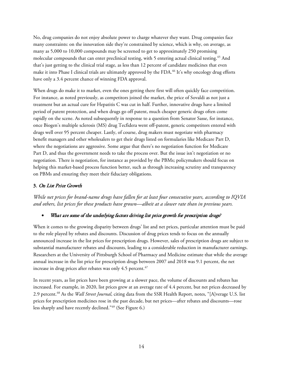No, drug companies do not enjoy absolute power to charge whatever they want. Drug companies face many constraints: on the innovation side they're constrained by science, which is why, on average, as many as 5,000 to 10,000 compounds may be screened to get to approximately 250 promising molecular compounds that can enter preclinical testing, with 5 entering actual clinical testing.<sup>[65](#page-34-12)</sup> And that's just getting to the clinical trial stage, as less than 12 percent of candidate medicines that even make it into Phase I clinical trials are ultimately approved by the FDA.<sup>[66](#page-34-13)</sup> It's why oncology drug efforts have only a 3.4 percent chance of winning FDA approval.

When drugs do make it to market, even the ones getting there first will often quickly face competition. For instance, as noted previously, as competitors joined the market, the price of Sovaldi as not just a treatment but an actual cure for Hepatitis C was cut in half. Further, innovative drugs have a limited period of patent protection, and when drugs go off patent, much cheaper generic drugs often come rapidly on the scene. As noted subsequently in response to a question from Senator Sasse, for instance, once Biogen's multiple sclerosis (MS) drug Tecfidera went off-patent, generic competitors entered with drugs well over 95 percent cheaper. Lastly, of course, drug makers must negotiate with pharmacy benefit managers and other wholesalers to get their drugs listed on formularies like Medicare Part D, where the negotiations are aggressive. Some argue that there's no negotiation function for Medicare Part D, and thus the government needs to take the process over. But the issue isn't negotiation or no negotiation. There is negotiation, for instance as provided by the PBMs; policymakers should focus on helping this market-based process function better, such as through increasing scrutiny and transparency on PBMs and ensuring they meet their fiduciary obligations.

#### 3. On List Price Growth

*While net prices for brand-name drugs have fallen for at least four consecutive years, according to IQVIA and others, list prices for these products have grown—albeit at a slower rate than in previous years.*

#### What are some of the underlying factors driving list price growth for prescription drugs?

When it comes to the growing disparity between drugs' list and net prices, particular attention must be paid to the role played by rebates and discounts. Discussion of drug prices tends to focus on the annually announced increase in the list prices for prescription drugs. However, sales of prescription drugs are subject to substantial manufacturer rebates and discounts, leading to a considerable reduction in manufacturer earnings. Researchers at the University of Pittsburgh School of Pharmacy and Medicine estimate that while the average annual increase in the list price for prescription drugs between 2007 and 2018 was 9.1 percent, the net increase in drug prices after rebates was only 4.5 percent.<sup>[67](#page-34-14)</sup>

In recent years, as list prices have been growing at a slower pace, the volume of discounts and rebates has increased. For example, in 2020, list prices grew at an average rate of 4.4 percent, but net prices decreased by 2.9 percent.[68](#page-34-15) As the *Wall Street Journal*, citing data from the SSR Health Report, notes, "[A]verage U.S. list prices for prescription medicines rose in the past decade, but net prices—after rebates and discounts—rose less sharply and have recently declined."[69](#page-34-16) (See [Figure 6.\)](#page-14-0)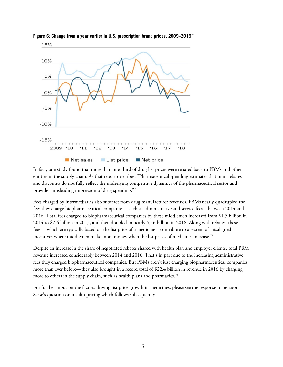

<span id="page-14-0"></span>**Figure 6: Change from a year earlier in U.S. prescription brand prices, 2009–2019[70](#page-34-17)**

In fact, one study found that more than one-third of drug list prices were rebated back to PBMs and other entities in the supply chain. As that report describes, "Pharmaceutical spending estimates that omit rebates and discounts do not fully reflect the underlying competitive dynamics of the pharmaceutical sector and provide a misleading impression of drug spending."[71](#page-35-0)

Fees charged by intermediaries also subtract from drug manufacturer revenues. PBMs nearly quadrupled the fees they charge biopharmaceutical companies—such as administrative and service fees—between 2014 and 2016. Total fees charged to biopharmaceutical companies by these middlemen increased from \$1.5 billion in 2014 to \$2.6 billion in 2015, and then doubled to nearly \$5.6 billion in 2016. Along with rebates, these fees— which are typically based on the list price of a medicine—contribute to a system of misaligned incentives where middlemen make more money when the list prices of medicines increase.<sup>[72](#page-35-1)</sup>

Despite an increase in the share of negotiated rebates shared with health plan and employer clients, total PBM revenue increased considerably between 2014 and 2016. That's in part due to the increasing administrative fees they charged biopharmaceutical companies. But PBMs aren't just charging biopharmaceutical companies more than ever before—they also brought in a record total of \$22.4 billion in revenue in 2016 by charging more to others in the supply chain, such as health plans and pharmacies.<sup>[73](#page-35-2)</sup>

For further input on the factors driving list price growth in medicines, please see the response to Senator Sasse's question on insulin pricing which follows subsequently.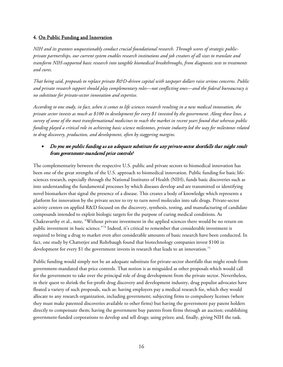#### 4. On Public Funding and Innovation

*NIH and its grantees unquestionably conduct crucial foundational research. Through scores of strategic publicprivate partnerships, our current system enables research institutions and job creators of all sizes to translate and transform NIH-supported basic research into tangible biomedical breakthroughs, from diagnostic tests to treatments and cures.*

*That being said, proposals to replace private R&D-driven capital with taxpayer dollars raise serious concerns. Public and private research support should play complementary roles—not conflicting ones—and the federal bureaucracy is no substitute for private-sector innovation and expertise.*

*According to one study, in fact, when it comes to life sciences research resulting in a new medical innovation, the private sector invests as much as \$100 in development for every \$1 invested by the government. Along those lines, a survey of some of the most transformational medicines to reach the market in recent years found that whereas public funding played a critical role in achieving basic science milestones, private industry led the way for milestones related to drug discovery, production, and development, often by staggering margins.*

## • Do you see public funding as an adequate substitute for any private-sector shortfalls that might result from government-mandated price controls?

The complementarity between the respective U.S. public and private sectors to biomedical innovation has been one of the great strengths of the U.S. approach to biomedical innovation. Public funding for basic lifesciences research, especially through the National Institutes of Health (NIH), funds basic discoveries such as into understanding the fundamental processes by which diseases develop and are transmitted or identifying novel biomarkers that signal the presence of a disease. This creates a body of knowledge which represents a platform for innovation by the private sector to try to turn novel molecules into safe drugs. Private-sector activity centers on applied R&D focused on the discovery, synthesis, testing, and manufacturing of candidate compounds intended to exploit biologic targets for the purpose of curing medical conditions. As Chakravarthy et al., note, "Without private investment in the applied sciences there would be no return on public investment in basic science."[74](#page-35-3) Indeed, it's critical to remember that considerable investment is required to bring a drug to market even after considerable amounts of basic research have been conducted. In fact, one study by Chatterjee and Rohrbaugh found that biotechnology companies invest \$100 in development for every \$1 the government invests in research that leads to an innovation.<sup>[75](#page-35-4)</sup>

Public funding would simply not be an adequate substitute for private-sector shortfalls that might result from government-mandated that price controls. That notion is as misguided as other proposals which would call for the government to take over the principal role of drug development from the private sector. Nevertheless, in their quest to shrink the for-profit drug discovery and development industry, drug populist advocates have floated a variety of such proposals, such as: having employers pay a medical research fee, which they would allocate to any research organization, including government; subjecting firms to compulsory licenses (where they must make patented discoveries available to other firms) but having the government pay patent holders directly to compensate them; having the government buy patents from firms through an auction; establishing government-funded corporations to develop and sell drugs; using prizes; and, finally, giving NIH the task.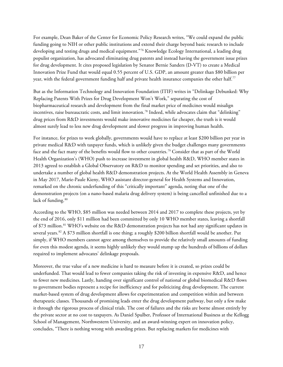For example, Dean Baker of the Center for Economic Policy Research writes, "We could expand the public funding going to NIH or other public institutions and extend their charge beyond basic research to include developing and testing drugs and medical equipment."[76](#page-35-5) Knowledge Ecology International, a leading drug populist organization, has advocated eliminating drug patents and instead having the government issue prizes for drug development. It cites proposed legislation by Senator Bernie Sanders (D-VT) to create a Medical Innovation Prize Fund that would equal 0.55 percent of U.S. GDP, an amount greater than \$80 billion per year, with the federal government funding half and private health insurance companies the other half.<sup>[77](#page-35-6)</sup>

But as the Information Technology and Innovation Foundation (ITIF) writes in "Delinkage Debunked: Why Replacing Patents With Prizes for Drug Development Won't Work," separating the cost of biopharmaceutical research and development from the final market price of medicines would misalign incentives, raise bureaucratic costs, and limit innovation.<sup>[78](#page-35-7)</sup> Indeed, while advocates claim that "delinking" drug prices from R&D investments would make innovative medicines far cheaper, the truth is it would almost surely lead to less new drug development and slower progress in improving human health.

For instance, for prizes to work globally, governments would have to replace at least \$200 billion per year in private medical R&D with taxpayer funds, which is unlikely given the budget challenges many governments face and the fact many of the benefits would flow to other countries.[79](#page-35-8) Consider that as part of the World Health Organization's (WHO) push to increase investment in global health R&D, WHO member states in 2013 agreed to establish a Global Observatory on R&D to monitor spending and set priorities, and also to undertake a number of global health R&D demonstration projects. At the World Health Assembly in Geneva in May 2017, Marie-Paule Kieny, WHO assistant director-general for Health Systems and Innovation, remarked on the chronic underfunding of this "critically important" agenda, noting that one of the demonstration projects (on a nano-based malaria drug delivery system) is being cancelled unfinished due to a lack of funding.<sup>[80](#page-35-9)</sup>

According to the WHO, \$85 million was needed between 2014 and 2017 to complete these projects, yet by the end of 2016, only \$11 million had been committed by only 10 WHO member states, leaving a shortfall of \$73 million.<sup>[81](#page-35-10)</sup> WHO's website on the R&D demonstration projects has not had any significant updates in several years.[82](#page-35-11) A \$73 million shortfall is one thing; a roughly \$200 billion shortfall would be another. Put simply, if WHO members cannot agree among themselves to provide the relatively small amounts of funding for even this modest agenda, it seems highly unlikely they would stump up the hundreds of billions of dollars required to implement advocates' delinkage proposals.

Moreover, the true value of a new medicine is hard to measure before it is created, so prizes could be underfunded. That would lead to fewer companies taking the risk of investing in expensive R&D, and hence to fewer new medicines. Lastly, handing over significant control of national or global biomedical R&D flows to government bodies represent a recipe for inefficiency and for politicizing drug development. The current market-based system of drug development allows for experimentation and competition within and between therapeutic classes. Thousands of promising leads enter the drug development pathway, but only a few make it through the rigorous process of clinical trials. The cost of failures and the risks are borne almost entirely by the private sector at no cost to taxpayers. As Daniel Spulber, Professor of International Business at the Kellogg School of Management, Northwestern University, and an award-winning expert on innovation policy, concludes, "There is nothing wrong with awarding prizes. But replacing markets for medicines with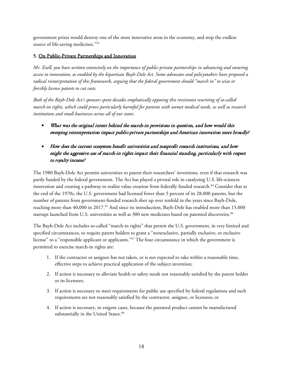government prizes would destroy one of the most innovative areas in the economy, and stop the endless source of life-saving medicines."[83](#page-35-12)

#### 5. On Public-Private Partnerships and Innovation

*Mr. Ezell, you have written extensively on the importance of public-private partnerships in advancing and ensuring access to innovation, as enabled by the bipartisan Bayh-Dole Act. Some advocates and policymakers have proposed a radical reinterpretation of this framework, arguing that the federal government should "march in" to seize or forcibly license patents to cut costs.*

*Both of the Bayh-Dole Act's sponsors spent decades emphatically opposing this revisionist rewriting of so-called march-in rights, which could prove particularly harmful for patients with unmet medical needs, as well as research institutions and small businesses across all of our states.* 

- What was the original intent behind the march-in provisions in question, and how would this sweeping reinterpretation impact public-private partnerships and American innovation more broadly?
- How does the current ecosystem benefit universities and nonprofit research institutions, and how might the aggressive use of march-in rights impact their financial standing, particularly with respect to royalty income?

The 1980 Bayh-Dole Act permits universities to patent their researchers' inventions, even if that research was partly funded by the federal government. The Act has played a pivotal role in catalyzing U.S. life-sciences innovation and creating a pathway to realize value creation from federally funded research.<sup>[84](#page-35-13)</sup> Consider that at the end of the 1970s, the U.S. government had licensed fewer than 5 percent of its 28,000 patents, but the number of patents from government-funded research shot up over tenfold in the years since Bayh-Dole, reaching more than 40,000 in 2017.<sup>[85](#page-35-14)</sup> And since its introduction, Bayh-Dole has enabled more than 15,000 startups launched from U.S. universities as well as 300 new medicines based on patented discoveries.<sup>[86](#page-35-15)</sup>

The Bayh-Dole Act includes so-called "march-in rights" that permit the U.S. government, in very limited and specified circumstances, to require patent holders to grant a "nonexclusive, partially exclusive, or exclusive license" to a "responsible applicant or applicants."[87](#page-35-16) The four circumstance in which the government is permitted to exercise march-in rights are:

- 1. If the contractor or assignee has not taken, or is not expected to take within a reasonable time, effective steps to achieve practical application of the subject invention;
- 2. If action is necessary to alleviate health or safety needs not reasonably satisfied by the patent holder or its licensees;
- 3. If action is necessary to meet requirements for public use specified by federal regulations and such requirements are not reasonably satisfied by the contractor, assignee, or licensees; or
- 4. If action is necessary, in exigent cases, because the patented product cannot be manufactured substantially in the United States.<sup>[88](#page-35-17)</sup>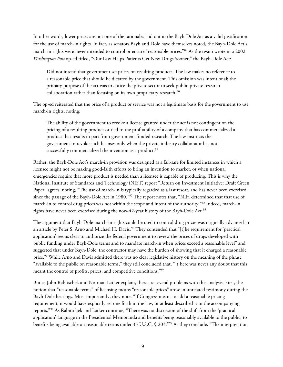In other words, lower prices are not one of the rationales laid out in the Bayh-Dole Act as a valid justification for the use of march-in rights. In fact, as senators Bayh and Dole have themselves noted, the Bayh-Dole Act's march-in rights were never intended to control or ensure "reasonable prices."[89](#page-36-0) As the twain wrote in a 2002 *Washington Post* op-ed titled, "Our Law Helps Patients Get New Drugs Sooner," the Bayh-Dole Act:

Did not intend that government set prices on resulting products. The law makes no reference to a reasonable price that should be dictated by the government. This omission was intentional; the primary purpose of the act was to entice the private sector to seek public-private research collaboration rather than focusing on its own proprietary research.<sup>[90](#page-36-1)</sup>

The op-ed reiterated that the price of a product or service was not a legitimate basis for the government to use march-in rights, noting:

The ability of the government to revoke a license granted under the act is not contingent on the pricing of a resulting product or tied to the profitability of a company that has commercialized a product that results in part from government-funded research. The law instructs the government to revoke such licenses only when the private industry collaborator has not successfully commercialized the invention as a product.<sup>[91](#page-36-2)</sup>

Rather, the Bayh-Dole Act's march-in provision was designed as a fail-safe for limited instances in which a licensee might not be making good-faith efforts to bring an invention to market, or when national emergencies require that more product is needed than a licensee is capable of producing. This is why the National Institute of Standards and Technology (NIST) report "Return on Investment Initiative: Draft Green Paper" agrees, noting, "The use of march-in is typically regarded as a last resort, and has never been exercised since the passage of the Bayh-Dole Act in 1980."<sup>[92](#page-36-3)</sup> The report notes that, "NIH determined that that use of march-in to control drug prices was not within the scope and intent of the authority."[93](#page-36-4) Indeed, march-in rights have never been exercised during the now-42-year history of the Bayh-Dole Act.<sup>[94](#page-36-5)</sup>

The argument that Bayh-Dole march-in rights could be used to control drug prices was originally advanced in an article by Peter S. Arno and Michael H. Davis.<sup>[95](#page-36-6)</sup> They contended that "[t]he requirement for 'practical application' seems clear to authorize the federal government to review the prices of drugs developed with public funding under Bayh-Dole terms and to mandate march-in when prices exceed a reasonable level" and suggested that under Bayh-Dole, the contractor may have the burden of showing that it charged a reasonable price.<sup>[96](#page-36-7)</sup> While Arno and Davis admitted there was no clear legislative history on the meaning of the phrase "available to the public on reasonable terms," they still concluded that, "[t]here was never any doubt that this meant the control of profits, prices, and competitive conditions."[97](#page-36-8)

But as John Rabitschek and Norman Latker explain, there are several problems with this analysis. First, the notion that "reasonable terms" of licensing means "reasonable prices" arose in unrelated testimony during the Bayh-Dole hearings. Most importantly, they note, "If Congress meant to add a reasonable pricing requirement, it would have explicitly set one forth in the law, or at least described it in the accompanying reports."[98](#page-36-9) As Rabitschek and Latker continue, "There was no discussion of the shift from the 'practical application' language in the Presidential Memoranda and benefits being reasonably available to the public, to benefits being available on reasonable terms under 35 U.S.C. § 203."[99](#page-36-10) As they conclude, "The interpretation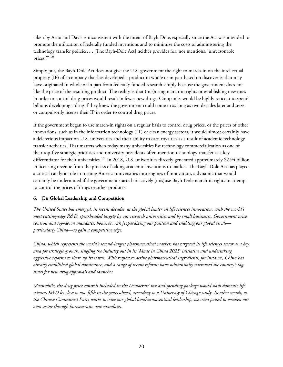taken by Arno and Davis is inconsistent with the intent of Bayh-Dole, especially since the Act was intended to promote the utilization of federally funded inventions and to minimize the costs of administering the technology transfer policies…. [The Bayh-Dole Act] neither provides for, nor mentions, 'unreasonable prices."<sup>[100](#page-36-11)</sup>

Simply put, the Bayh-Dole Act does not give the U.S. government the right to march-in on the intellectual property (IP) of a company that has developed a product in whole or in part based on discoveries that may have originated in whole or in part from federally funded research simply because the government does not like the price of the resulting product. The reality is that (mis)using march-in rights or establishing new ones in order to control drug prices would result in fewer new drugs. Companies would be highly reticent to spend billions developing a drug if they knew the government could come in as long as two decades later and seize or compulsorily license their IP in order to control drug prices.

If the government began to use march-in rights on a regular basis to control drug prices, or the prices of other innovations, such as in the information technology (IT) or clean energy sectors, it would almost certainly have a deleterious impact on U.S. universities and their ability to earn royalties as a result of academic technology transfer activities. That matters when today many universities list technology commercialization as one of their top-five strategic priorities and university presidents often mention technology transfer as a key differentiator for their universities.<sup>[101](#page-36-12)</sup> In 2018, U.S. universities directly generated approximately \$2.94 billion in licensing revenue from the process of taking academic inventions to market. The Bayh-Dole Act has played a critical catalytic role in turning America universities into engines of innovation, a dynamic that would certainly be undermined if the government started to actively (mis)use Bayh-Dole march-in rights to attempt to control the prices of drugs or other products.

## 6. On Global Leadership and Competition

*The United States has emerged, in recent decades, as the global leader on life sciences innovation, with the world's most cutting-edge R&D, spearheaded largely by our research universities and by small businesses. Government price controls and top-down mandates, however, risk jeopardizing our position and enabling our global rivals particularly China—to gain a competitive edge.*

*China, which represents the world's second-largest pharmaceutical market, has targeted its life sciences sector as a key area for strategic growth, singling the industry out in its 'Made in China 2025' initiative and undertaking aggressive reforms to shore up its status. With respect to active pharmaceutical ingredients, for instance, China has already established global dominance, and a range of recent reforms have substantially narrowed the country's lagtimes for new drug approvals and launches.*

*Meanwhile, the drug price controls included in the Democrats' tax and spending package would slash domestic life sciences R&D by close to one-fifth in the years ahead, according to a University of Chicago study. In other words, as the Chinese Communist Party works to seize our global biopharmaceutical leadership, we seem poised to weaken our own sector through bureaucratic new mandates.*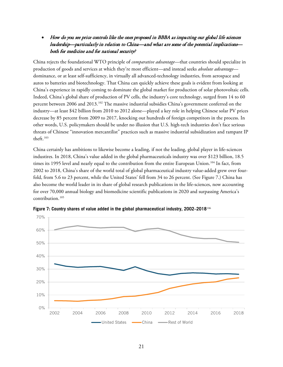• How do you see price controls like the ones proposed in BBBA as impacting our global life sciences leadership—particularly in relation to China—and what are some of the potential implications both for medicine and for national security?

China rejects the foundational WTO principle of *comparative advantage*—that countries should specialize in production of goods and services at which they're most efficient—and instead seeks *absolute advantage* dominance, or at least self-sufficiency, in virtually all advanced-technology industries, from aerospace and autos to batteries and biotechnology. That China can quickly achieve these goals is evident from looking at China's experience in rapidly coming to dominate the global market for production of solar photovoltaic cells. Indeed, China's global share of production of PV cells, the industry's core technology, surged from 14 to 60 percent between 2006 and 2013.<sup>[102](#page-36-13)</sup> The massive industrial subsidies China's government conferred on the industry—at least \$42 billion from 2010 to 2012 alone—played a key role in helping Chinese solar PV prices decrease by 85 percent from 2009 to 2017, knocking out hundreds of foreign competitors in the process. In other words, U.S. policymakers should be under no illusion that U.S. high-tech industries don't face serious threats of Chinese "innovation mercantilist" practices such as massive industrial subsidization and rampant IP theft.[103](#page-36-14)

China certainly has ambitions to likewise become a leading, if not the leading, global player in life-sciences industires. In 2018, China's value added in the global pharmaceuticals industry was over \$123 billion, 18.5 times its 1995 level and nearly equal to the contribution from the entire European Union.<sup>[104](#page-36-15)</sup> In fact, from 2002 to 2018, China's share of the world total of global pharmaceutical industry value-added grew over fourfold, from 5.6 to 23 percent, while the United States' fell from 34 to 26 percent. (See [Figure 7.\)](#page-20-0) China has also become the world leader in its share of global research publications in the life-sciences, now accounting for over 70,000 annual biology and biomedicine scientific publications in 2020 and surpassing America's contribution.<sup>[105](#page-36-16)</sup>



<span id="page-20-0"></span>**Figure 7: Country shares of value added in the global pharmaceutical industry, 2002–2018**[106](#page-36-17)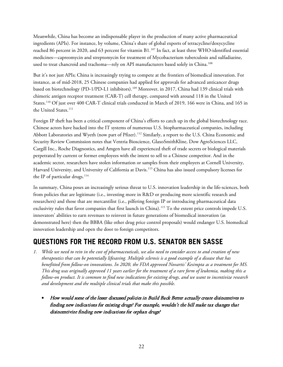Meanwhile, China has become an indispensable player in the production of many active pharmaceutical ingredients (APIs). For instance, by volume, China's share of global exports of tetracycline/doxycycline reached 86 percent in 2020, and 63 percent for vitamin B1.<sup>[107](#page-36-18)</sup> In fact, at least three WHO-identified essential medicines—capreomycin and streptomycin for treatment of Mycobacterium tuberculosis and sulfadiazine, used to treat chancroid and trachoma—rely on API manufacturers based solely in China.<sup>108</sup>

But it's not just APIs; China is increasingly trying to compete at the frontiers of biomedical innovation. For instance, as of mid-2018, 25 Chinese companies had applied for approvals for advanced anticancer drugs based on biotechnology (PD-1/PD-L1 inhibitors).<sup>[109](#page-37-0)</sup> Moreover, in 2017, China had 139 clinical trials with chimeric antigen receptor treatment (CAR-T) cell therapy, compared with around 118 in the United States.[110](#page-37-1) Of just over 400 CAR-T clinical trials conducted in March of 2019, 166 were in China, and 165 in the United States.<sup>[111](#page-37-2)</sup>

Foreign IP theft has been a critical component of China's efforts to catch up in the global biotechnology race. Chinese actors have hacked into the IT systems of numerous U.S. biopharmaceutical companies, including Abbott Laboratories and Wyeth (now part of Pfizer).<sup>[112](#page-37-3)</sup> Similarly, a report to the U.S. China Economic and Security Review Commission notes that Ventria Bioscience, GlaxoSmithKline, Dow AgroSciences LLC, Cargill Inc., Roche Diagnostics, and Amgen have all experienced theft of trade secrets or biological materials perpetrated by current or former employees with the intent to sell to a Chinese competitor. And in the academic sector, researchers have stolen information or samples from their employers at Cornell University, Harvard University, and University of California at Davis.[113](#page-37-4) China has also issued compulsory licenses for the IP of particular drugs.<sup>[114](#page-37-5)</sup>

In summary, China poses an increasingly serious threat to U.S. innovation leadership in the life-sciences, both from policies that are legitimate (i.e., investing more in R&D or producing more scientific research and researchers) and those that are mercantilist (i.e., pilfering foreign IP or introducing pharmaceutical data exclusivity rules that favor companies that first launch in China).<sup>[115](#page-37-6)</sup> To the extent price controls impede U.S. innovators' abilities to earn revenues to reinvest in future generations of biomedical innovation (as demonstrated here) then the BBBA (like other drug price control proposals) would endanger U.S. biomedical innovation leadership and open the door to foreign competitors.

## **QUESTIONS FOR THE RECORD FROM U.S. SENATOR BEN SASSE**

- *1. While we need to rein in the cost of pharmaceuticals, we also need to consider access to and creation of new therapeutics that can be potentially lifesaving. Multiple sclerosis is a good example of a disease that has benefitted from follow-on innovations. In 2020, the FDA approved Novartis' Kesimpta as a treatment for MS. This drug was originally approved 11 years earlier for the treatment of a rare form of leukemia, making this a follow-on product. It is common to find new indications for existing drugs, and we want to incentivize research and development and the multiple clinical trials that make this possible.*
	- How would some of the lesser discussed policies in Build Back Better actually create disincentives to finding new indications for existing drugs? For example, wouldn't the bill make tax changes that disincentivize finding new indications for orphan drugs?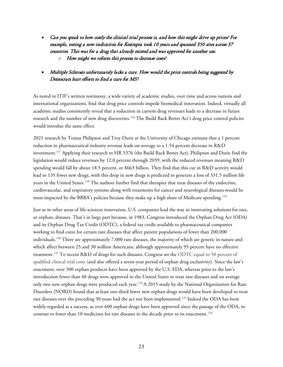- Can you speak to how costly the clinical trial process is, and how this might drive up prices? For example, testing a new indication for Kesimpta took 10 years and spanned 350 sites across 37 countries. This was for a drug that already existed and was approved for another use.
	- $\circ$  How might we reform this process to decrease costs?

## • Multiple Sclerosis unfortunately lacks a cure. How would the price controls being suggested by Democrats hurt efforts to find a cure for MS?

As noted in ITIF's written testimony, a wide variety of academic studies, over time and across nations and international organizations, find that drug price controls impede biomedical innovation. Indeed, virtually all academic studies consistently reveal that a reduction in current drug revenues leads to a decrease in future research and the number of new drug discoveries.<sup>[116](#page-37-7)</sup> The Build Back Better Act's drug price control policies would introdue the same effect.

2021 research by Tomas Philipson and Troy Durie at the University of Chicago estimate that a 1 percent reduction in pharmaceutical industry revenue leads on average to a 1.54 percent decrease in R&D investment.[117](#page-37-8) Applying their research to HR 5376 (the Build Back Better Act), Philipson and Durie find the legislation would reduce revenues by 12.0 percent through 2039, with the reduced revenues meaning R&D spending would fall by about 18.5 percent, or \$663 billion. They find that this cut in R&D activity would lead to 135 fewer new drugs, with this drop in new drugs is predicted to generate a loss of 331.5 million life years in the United States.<sup>[118](#page-37-9)</sup> The authors further find that therapies that treat diseases of the endocrine, cardiovascular, and respiratory systems along with treatments for cancer and neurological diseases would be most impacted by the BBBA's policies because they make up a high share of Medicare spending.<sup>[119](#page-37-10)</sup>

Just as in other areas of life-sciences innovation, U.S. companies lead the way in innovating solutions for rare, or orphan, diseases. That's in large part because, in 1983, Congress introduced the Orphan Drug Act (ODA) and its Orphan Drug Tax Credit (ODTC), a federal tax credit available to pharmaceutical companies working to find cures for certain rare diseases that affect patient populations of fewer than 200,000 individuals.[120](#page-37-11) There are approximately 7,000 rare diseases, the majority of which are genetic in nature and which affect between 25 and 30 million Americans, although approximately 95 percent have no effective treatment.<sup>[121](#page-37-12)</sup> To incent R&D of drugs for such diseases, Congress set the ODTC equal to 50 percent of qualified clinical trial costs (and also offered a seven-year period of orphan drug exclusivity). Since the law's enactment, over 500 orphan products have been approved by the U.S. FDA, whereas prior to the law's introduction fewer than 40 drugs were approved in the United States to treat rare diseases and on average only two new orphan drugs were produced each year.<sup>[122](#page-37-13)</sup> A 2015 study by the National Organization for Rare Disorders (NORD) found that at least one-third fewer new orphan drugs would have been developed to treat rare diseases over the preceding 30 years had the act not been implemented.<sup>[123](#page-37-14)</sup> Indeed the ODA has been widely regarded as a success, as over 600 orphan drugs have been approved since the passage of the ODA, in contrast to fewer than 10 medicines for rare diseases in the decade prior to its enactment.<sup>[124](#page-38-0)</sup>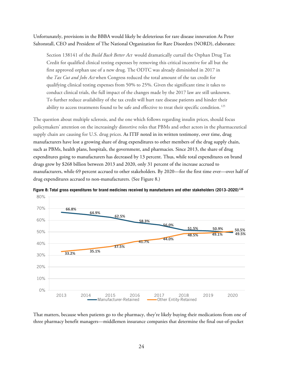Unfortunately, provisions in the BBBA would likely be deleterious for rare disease innovation As Peter Saltonstall, CEO and President of The National Organization for Rare Disorders (NORD), elaborates:

Section 138141 of the *Build Back Better Act* would dramatically curtail the Orphan Drug Tax Credit for qualified clinical testing expenses by removing this critical incentive for all but the first approved orphan use of a new drug. The ODTC was already diminished in 2017 in the *Tax Cut and Jobs Act* when Congress reduced the total amount of the tax credit for qualifying clinical testing expenses from 50% to 25%. Given the significant time it takes to conduct clinical trials, the full impact of the changes made by the 2017 law are still unknown. To further reduce availability of the tax credit will hurt rare disease patients and hinder their ability to access treatments found to be safe and effective to treat their specific condition.<sup>[125](#page-38-1)</sup>

The question about multiple sclerosis, and the one which follows regarding insulin prices, should focus policymakers' attention on the increasingly distortive roles that PBMs and other actors in the pharmaceutical supply chain are causing for U.S. drug prices. As ITIF noted in its written testimony, over time, drug manufacturers have lost a growing share of drug expenditures to other members of the drug supply chain, such as PBMs, health plans, hospitals, the government, and pharmacies. Since 2013, the share of drug expenditures going to manufacturers has decreased by 13 percent. Thus, while total expenditures on brand drugs grew by \$268 billion between 2013 and 2020, only 31 percent of the increase accrued to manufacturers, while 69 percent accrued to other stakeholders. By 2020—for the first time ever—over half of drug expenditures accrued to non-manufacturers. (See [Figure 8.](#page-23-0))



<span id="page-23-0"></span>**Figure 8: Total gross expenditures for brand medicines received by manufacturers and other stakeholders (2013–2020)**[126](#page-38-2)

That matters, because when patients go to the pharmacy, they're likely buying their medications from one of three pharmacy benefit managers—middlemen insurance companies that determine the final out-of-pocket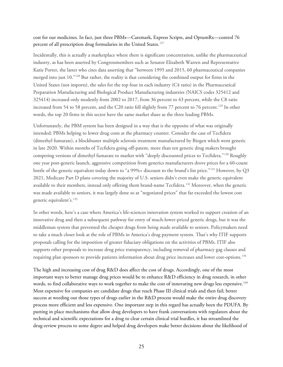#### cost for our medicines. In fact, just three PBMs—Caremark, Express Scripts, and OptumRx—control 76 percent of all prescription drug formularies in the United States.<sup>127</sup>

Incidentally, this is actually a marketplace where there is significant concentration, unlike the pharmaceutical industry, as has been asserted by Congressmembers such as Senator Elizabeth Warren and Representative Katie Porter, the latter who cites data asserting that "between 1995 and 2015, 60 pharmaceutical companies merged into just 10."[128](#page-38-4) But rather, the reality is that considering the combined output for firms in the United States (not imports), the sales for the top four in each industry (C4 ratio) in the Pharmaceutical Preparation Manufacturing and Biological Product Manufacturing industries (NAICS codes 325412 and 325414) increased only modestly from 2002 to 2017, from 36 percent to 43 percent, while the C8 ratio increased from 54 to 58 percent, and the C20 ratio fell slightly from 77 percent to 76 percent.<sup>[129](#page-38-5)</sup> In other words, the top 20 firms in this sector have the same market share as the three leading PBMs.

Unfortunately, the PBM system has been designed in a way that is the opposite of what was originally intended: PBMs helping to lower drug costs at the pharmacy counter. Consider the case of Tecfidera (dimethyl fumarate), a blockbuster multiple sclerosis treatment manufactured by Biogen which went generic in late 2020. Within months of Tecfidera going off-patent, more than ten generic drug makers brought competing versions of dimethyl fumarate to market with "deeply discounted prices to Tecfidera."[130](#page-38-6) Roughly one year post-generic launch, aggressive competition from generics manufacturers drove prices for a 60-count bottle of the generic equivalent today down to "a 99%+ discount to the brand's list price."[131](#page-38-7) However, by Q3 2021, Medicare Part D plans covering the majority of U.S. seniors didn't even make the generic equivalent available to their members, instead only offering them brand-name Tecfidera.<sup>[132](#page-38-8)</sup> Moreover, when the generic was made available to seniors, it was largely done so at "negotiated prices" that far exceeded the lowest cost generic equivalent's.[133](#page-38-9)

In other words, here's a case where America's life-sciences innovation system worked to support creation of an innovative drug and then a subsequent pathway for entry of much-lower-priced generic drugs, but it was the middleman system that prevented the cheaper drugs from being made available to seniors. Policymakers need to take a much closer look at the role of PBMs in America's drug payment system. That's why ITIF supports proposals calling for the imposition of greater fiduciary obligations on the activities of PBMs. ITIF also supports other proposals to increase drug price transparency, including removal of pharmacy gag clauses and requiring plan sponsors to provide patients information about drug price increases and lower cost-options.[134](#page-38-10)

The high and increasing cost of drug R&D does affect the cost of drugs. Accordingly, one of the most important ways to better manage drug prices would be to enhance R&D efficiency in drug research, in other words, to find collaborative ways to work together to make the cost of innovating new drugs less expensive.<sup>[135](#page-38-11)</sup> Most expensive for companies are candidate drugs that reach Phase III clinical trials and then fail; better success at weeding out those types of drugs earlier in the R&D process would make the entire drug discovery process more efficient and less expensive. One important step in this regard has actually been the PDUFA. By putting in place mechanisms that allow drug developers to have frank conversations with regulators about the technical and scientific expectations for a drug to clear certain clinical trial hurdles, it has streamlined the drug-review process to some degree and helped drug developers make better decisions about the likelihood of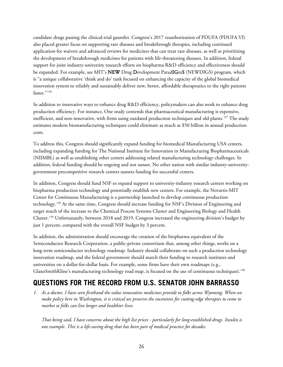candidate drugs passing the clinical-trial gauntlet. Congress's 2017 reauthorization of PDUFA (PDUFA VI) also placed greater focus on supporting rare diseases and breakthrough therapies, including continued application-fee waivers and advanced reviews for medicines that can treat rare diseases, as well as prioritizing the development of breakthrough medicines for patients with life-threatening diseases. In addition, federal support for joint industry-university research efforts on biopharma R&D efficiency and effectiveness should be expanded. For example, see MIT's **NEW** Drug Development ParadIGmS (NEWDIGS) program, which is "a unique collaborative 'think and do' tank focused on enhancing the capacity of the global biomedical innovation system to reliably and sustainably deliver new, better, affordable therapeutics to the right patients faster."<sup>[136](#page-38-12)</sup>

In addition to innovative ways to enhance drug R&D efficiency, policymakers can also work to enhance drug production efficiency. For instance, One study contends that pharmaceutical manufacturing is expensive, inefficient, and non-innovative, with firms using outdated production techniques and old plants.<sup>[137](#page-38-13)</sup> The study estimates modern biomanufacturing techniques could eliminate as much as \$50 billion in annual production costs.

To address this, Congress should significantly expand funding for biomedical Manufacturing USA centers, including expanding funding for The National Institute for Innovation in Manufacturing Biopharmaceuticals (NIIMBL) as well as establishing other centers addressing related manufacturing technology challenges. In addition, federal funding should be ongoing and not sunset. No other nation with similar industry-universitygovernment precompetitive research centers sunsets funding for successful centers.

In addition, Congress should fund NSF to expand support to university-industry research centers working on biopharma production technology and potentially establish new centers. For example, the Novartis-MIT Center for Continuous Manufacturing is a partnership launched to develop continuous production technology.[138](#page-38-14) At the same time, Congress should increase funding for NSF's Division of Engineering and target much of the increase to the Chemical Process Systems Cluster and Engineering Biology and Health Cluster.[139](#page-38-15) Unfortunately, between 2018 and 2019, Congress increased the engineering division's budget by just 1 percent, compared with the overall NSF budget by 3 percent.

In addition, the administration should encourage the creation of the biopharma equivalent of the Semiconductor Research Corporation, a public-private consortium that, among other things, works on a long-term semiconductor technology roadmap. Industry should collaborate on such a production technology innovation roadmap, and the federal government should match their funding to research institutes and universities on a dollar-for-dollar basis. For example, some firms have their own roadmaps (e.g., GlaxoSmithKline's manufacturing technology road map, is focused on the use of continuous techniques).<sup>[140](#page-38-16)</sup>

## **QUESTIONS FOR THE RECORD FROM U.S. SENATOR JOHN BARRASSO**

*1. As a doctor, I have seen firsthand the value innovative medicines provide to folks across Wyoming. When we make policy here in Washington, it is critical we preserve the incentives for cutting-edge therapies to come to market so folks can live longer and healthier lives.* 

*That being said, I have concerns about the high list prices - particularly for long-established drugs. Insulin is one example. This is a life-saving drug that has been part of medical practice for decades.*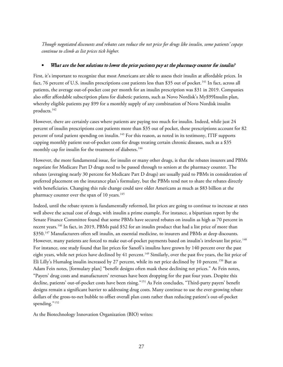*Though negotiated discounts and rebates can reduce the net price for drugs like insulin, some patients' copays continue to climb as list prices tick higher.* 

### What are the best solutions to lower the price patients pay at the pharmacy counter for insulin?

First, it's important to recognize that most Americans are able to assess their insulin at affordable prices. In fact, 76 percent of U.S. insulin prescriptions cost patients less than \$35 out of pocket.<sup>[141](#page-38-17)</sup> In fact, across all patients, the average out-of-pocket cost per month for an insulin prescription was \$31 in 2019. Companies also offer affordable subscription plans for diabetic patients, such as Novo Nordisk's My\$99Insulin plan, whereby eligible patients pay \$99 for a monthly supply of any combination of Novo Nordisk insulin products. [142](#page-38-18)

However, there are certainly cases where patients are paying too much for insulin. Indeed, while just 24 percent of insulin prescriptions cost patients more than \$35 out of pocket, these prescriptions account for 82 percent of total patient spending on insulin.<sup>[143](#page-38-19)</sup> For this reason, as noted in its testimony, ITIF supports capping monthly patient out-of-pocket costs for drugs treating certain chronic diseases, such as a \$35 monthly cap for insulin for the treatment of diabetes.<sup>[144](#page-39-0)</sup>

However, the more fundamental issue, for insulin or many other drugs, is that the rebates insurers and PBMs negotiate for Medicare Part D drugs need to be passed through to seniors at the pharmacy counter. The rebates (averaging nearly 30 percent for Medicare Part D drugs) are usually paid to PBMs in consideration of preferred placement on the insurance plan's formulary, but the PBMs tend not to share the rebates directly with beneficiaries. Changing this rule change could save older Americans as much as \$83 billion at the pharmacy counter over the span of 10 years.<sup>[145](#page-39-1)</sup>

Indeed, until the rebate system is fundamentally reformed, list prices are going to continue to increase at rates well above the actual cost of drugs, with insulin a prime example. For instance, a bipartisan report by the Senate Finance Committee found that some PBMs have secured rebates on insulin as high as 70 percent in recent years.[146](#page-39-2) In fact, in 2019, PBMs paid \$52 for an insulin product that had a list price of more than \$350.<sup>[147](#page-39-3)</sup> Manufacturers often sell insulin, an essential medicine, to insurers and PBMs at deep discounts. However, many patients are forced to make out-of-pocket payments based on insulin's irrelevant list price.<sup>[148](#page-39-4)</sup> For instance, one study found that list prices for Sanofi's insulins have grown by 140 percent over the past eight years, while net prices have declined by 41 percent.<sup>[149](#page-39-5)</sup> Similarly, over the past five years, the list price of Eli Lilly's Humalog insulin increased by 27 percent, while its net price declined by 10 percent.<sup>[150](#page-39-6)</sup> But as Adam Fein notes, [formulary plan] "benefit designs often mask these declining net prices." As Fein notes, "Payers' drug costs and manufacturers' revenues have been dropping for the past four years. Despite this decline, patients' out-of-pocket costs have been rising."[151](#page-39-7) As Fein concludes, "Third-party payers' benefit designs remain a significant barrier to addressing drug costs. Many continue to use the ever-growing rebate dollars of the gross-to-net bubble to offset overall plan costs rather than reducing patient's out-of-pocket spending."<sup>[152](#page-39-8)</sup>

As the Biotechnology Innovation Organization (BIO) writes: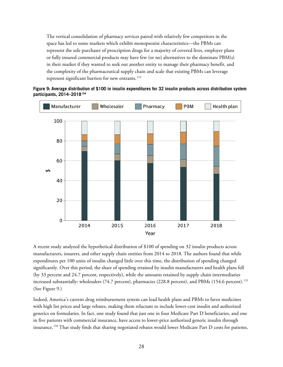The vertical consolidation of pharmacy services paired with relatively few competitors in the space has led to some markets which exhibit monopsonist characteristics—the PBMs can represent the sole purchaser of prescription drugs for a majority of covered lives, employer plans or fully insured commercial products may have few (or no) alternatives to the dominate PBM(s) in their market if they wanted to seek out another entity to manage their pharmacy benefit, and the complexity of the pharmaceutical supply chain and scale that existing PBMs can leverage represent significant barriers for new entrants.<sup>[153](#page-39-9)</sup>

<span id="page-27-0"></span>



A recent study analyzed the hypothetical distribution of \$100 of spending on 32 insulin products across manufacturers, insurers, and other supply chain entities from 2014 to 2018. The authors found that while expenditures per 100 units of insulin changed little over this time, the distribution of spending changed significantly. Over this period, the share of spending retained by insulin manufacturers and health plans fell (by 33 percent and 24.7 percent, respectively), while the amounts retained by supply chain intermediaries increased substantially: wholesalers (74.7 percent), pharmacies (228.8 percent), and PBMs (154.6 percent).<sup>[155](#page-39-11)</sup> (See [Figure 9.](#page-27-0))

Indeed, America's current drug reimbursement system can lead health plans and PBMs to favor medicines with high list prices and large rebates, making them reluctant to include lower-cost insulin and authorized generics on formularies. In fact, one study found that just one in four Medicare Part D beneficiaries, and one in five patients with commercial insurance, have access to lower-price authorized generic insulin through insurance.[156](#page-39-12) That study finds that sharing negotiated rebates would lower Medicare Part D costs for patients,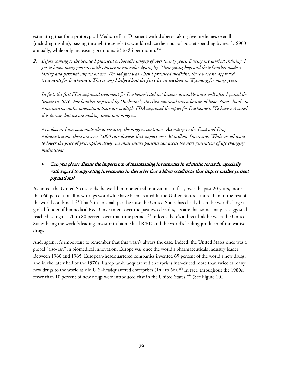estimating that for a prototypical Medicare Part D patient with diabetes taking five medicines overall (including insulin), passing through those rebates would reduce their out-of-pocket spending by nearly \$900 annually, while only increasing premiums \$3 to \$6 per month.<sup>[157](#page-39-13)</sup>

*2. Before coming to the Senate I practiced orthopedic surgery of over twenty years. During my surgical training, I got to know many patients with Duchenne muscular dystrophy. These young boys and their families made a lasting and personal impact on me. The sad fact was when I practiced medicine, there were no approved treatments for Duchenne's. This is why I helped host the Jerry Lewis telethon in Wyoming for many years.*

*In fact, the first FDA approved treatment for Duchenne's did not become available until well after I joined the Senate in 2016. For families impacted by Duchenne's, this first approval was a beacon of hope. Now, thanks to American scientific innovation, there are multiple FDA approved therapies for Duchenne's. We have not cured this disease, but we are making important progress.*

*As a doctor, I am passionate about ensuring the progress continues. According to the Food and Drug Administration, there are over 7,000 rare diseases that impact over 30 million Americans. While we all want to lower the price of prescription drugs, we must ensure patients can access the next generation of life changing medications.*

## • Can you please discuss the importance of maintaining investments in scientific research, especially with regard to supporting investments in therapies that address conditions that impact smaller patient populations?

As noted, the United States leads the world in biomedical innovation. In fact, over the past 20 years, more than 60 percent of all new drugs worldwide have been created in the United States—more than in the rest of the world combined.[158](#page-39-14) That's in no small part because the United States has clearly been the world's largest global funder of biomedical R&D investment over the past two decades, a share that some analyses suggested reached as high as 70 to 80 percent over that time period.<sup>[159](#page-39-15)</sup> Indeed, there's a direct link between the United States being the world's leading investor in biomedical R&D and the world's leading producer of innovative drugs.

And, again, it's important to remember that this wasn't always the case. Indeed, the United States once was a global "also-ran" in biomedical innovation: Europe was once the world's pharmaceuticals industry leader. Between 1960 and 1965, European-headquartered companies invented 65 percent of the world's new drugs, and in the latter half of the 1970s, European-headquartered enterprises introduced more than twice as many new drugs to the world as did U.S.-headquartered enterprises (149 to 66).<sup>[160](#page-39-16)</sup> In fact, throughout the 1980s, fewer than 10 percent of new drugs were introduced first in the United States.[161](#page-39-17) (See [Figure 10.](#page-29-0))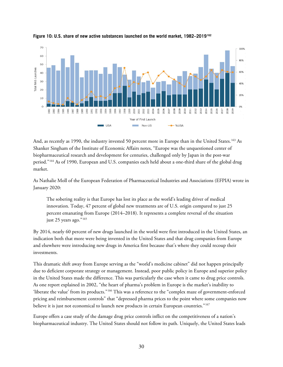

<span id="page-29-0"></span>**Figure 10: U.S. share of new active substances launched on the world market, 1982–2019[162](#page-40-0)**

And, as recently as 1990, the industry invested 50 percent more in Europe than in the United States.[163](#page-40-1) As Shanker Singham of the Institute of Economic Affairs notes, "Europe was the unquestioned center of biopharmaceutical research and development for centuries, challenged only by Japan in the post-war period."[164](#page-40-2) As of 1990, European and U.S. companies each held about a one-third share of the global drug market.

As Nathalie Moll of the European Federation of Pharmaceutical Industries and Associations (EFPIA) wrote in January 2020:

The sobering reality is that Europe has lost its place as the world's leading driver of medical innovation. Today, 47 percent of global new treatments are of U.S. origin compared to just 25 percent emanating from Europe (2014–2018). It represents a complete reversal of the situation just 25 years ago."<sup>[165](#page-40-3)</sup>

By 2014, nearly 60 percent of new drugs launched in the world were first introduced in the United States, an indication both that more were being invented in the United States and that drug companies from Europe and elsewhere were introducing new drugs in America first because that's where they could recoup their investments.

This dramatic shift away from Europe serving as the "world's medicine cabinet" did not happen principally due to deficient corporate strategy or management. Instead, poor public policy in Europe and superior policy in the United States made the difference. This was particularly the case when it came to drug price controls. As one report explained in 2002, "the heart of pharma's problem in Europe is the market's inability to 'liberate the value' from its products."[166](#page-40-4) This was a reference to the "complex maze of government-enforced pricing and reimbursement controls" that "depressed pharma prices to the point where some companies now believe it is just not economical to launch new products in certain European countries."<sup>[167](#page-40-5)</sup>

Europe offers a case study of the damage drug price controls inflict on the competitiveness of a nation's biopharmaceutical industry. The United States should not follow its path. Uniquely, the United States leads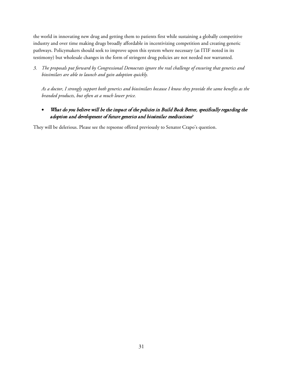the world in innovating new drug and getting them to patients first while sustaining a globally competitive industry and over time making drugs broadly affordable in incentivizing competition and creating generic pathways. Policymakers should seek to improve upon this system where necessary (as ITIF noted in its testimony) but wholesale changes in the form of stringent drug policies are not needed nor warranted.

*3. The proposals put forward by Congressional Democrats ignore the real challenge of ensuring that generics and biosimilars are able to launch and gain adoption quickly.*

*As a doctor, I strongly support both generics and biosimilars because I know they provide the same benefits as the branded products, but often at a much lower price.* 

• What do you believe will be the impact of the policies in Build Back Better, specifically regarding the adoption and development of future generics and biosimilar medications?

They will be delerious. Please see the repsonse offered previously to Senator Crapo's question.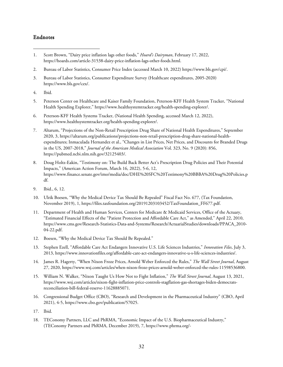#### Endnotes

- <span id="page-31-0"></span>1. Scott Brown, "Dairy price inflation lags other foods," *Hoard's Dairyman*, February 17, 2022, https://hoards.com/article-31538-dairy-price-inflation-lags-other-foods.html.
- <span id="page-31-1"></span>2. Bureau of Labor Statistics, Consumer Price Index (accessed March 10, 2022) https://www.bls.gov/cpi/.
- <span id="page-31-2"></span>3. Bureau of Labor Statistics, Consumer Expenditure Survey (Healthcare expenditures, 2005-2020) https://www.bls.gov/cex/.
- <span id="page-31-3"></span>4. Ibid.
- <span id="page-31-4"></span>5. Peterson Center on Healthcare and Kaiser Family Foundation, Peterson-KFF Health System Tracker, "National Health Spending Explorer," https://www.healthsystemtracker.org/health-spending-explorer/.
- <span id="page-31-5"></span>6. Peterson-KFF Health Systems Tracker, (National Health Spending, accessed March 12, 2022), https://www.healthsystemtracker.org/health-spending-explorer/.
- <span id="page-31-6"></span>7. Altarum, "Projections of the Non-Retail Prescription Drug Share of National Health Expenditures," September 2020, 3, https://altarum.org/publications/projections-non-retail-prescription-drug-share-national-healthexpenditures; Inmaculada Hernandez et al., "Changes in List Prices, Net Prices, and Discounts for Branded Drugs in the US, 2007-2018," *Journal of the American Medical Association* Vol. 323, No. 9 (2020): 856, https://pubmed.ncbi.nlm.nih.gov/32125403/.
- <span id="page-31-7"></span>8. Doug Holtz-Eakin, "Testimony on: The Build Back Better Act's Prescription Drug Policies and Their Potential Impacts," (American Action Forum, March 16, 2022), 5-6, 12, https://www.finance.senate.gov/imo/media/doc/DHE%20SFC%20Testimony%20BBBA%20Drug%20Policies.p df.
- <span id="page-31-8"></span>9. Ibid., 6, 12.
- <span id="page-31-9"></span>10. Ulrik Boesen, "Why the Medical Device Tax Should Be Repealed" Fiscal Fact No. 677, (Tax Foundation, November 2019), 1, https://files.taxfoundation.org/20191203103452/TaxFoundation\_FF677.pdf.
- <span id="page-31-10"></span>11. Department of Health and Human Services, Centers for Medicare & Medicaid Services, Office of the Actuary, "Estimated Financial Effects of the "Patient Protection and Affordable Care Act," as Amended," April 22, 2010, https://www.cms.gov/Research-Statistics-Data-and-Systems/Research/ActuarialStudies/downloads/PPACA\_2010- 04-22.pdf.
- <span id="page-31-11"></span>12. Boesen, "Why the Medical Device Tax Should Be Repealed."
- <span id="page-31-12"></span>13. Stephen Ezell, "Affordable Care Act Endangers Innovative U.S. Life Sciences Industries," *Innovation Files*, July 3, 2013, https://www.innovationfiles.org/affordable-care-act-endangers-innovative-u-s-life-sciences-industries/.
- <span id="page-31-13"></span>14. James R. Hagerty, "When Nixon Froze Prices, Arnold Weber Enforced the Rules," *The Wall Street Journal*, August 27, 2020, https://www.wsj.com/articles/when-nixon-froze-prices-arnold-weber-enforced-the-rules-11598536800.
- <span id="page-31-14"></span>15. William N. Walker, "Nixon Taught Us How Not to Fight Inflation," *The Wall Street Journal*, August 13, 2021, https://www.wsj.com/articles/nixon-fight-inflation-price-controls-stagflation-gas-shortages-biden-democratsreconciliation-bill-federal-reserve-11628885071.
- <span id="page-31-15"></span>16. Congressional Budget Office (CBO), "Research and Development in the Pharmaceutical Industry" (CBO, April 2021), 4-5, https://www.cbo.gov/publication/57025.
- <span id="page-31-16"></span>17. Ibid.
- <span id="page-31-17"></span>18. TEConomy Partners, LLC and PhRMA, "Economic Impact of the U.S. Biopharmaceutical Industry," (TEConomy Partners and PhRMA, December 2019), 7, https://www.phrma.org/-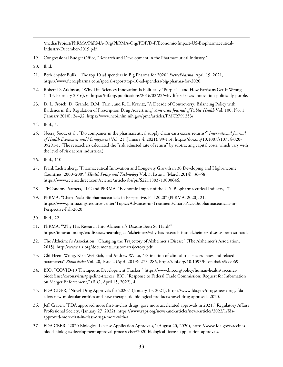/media/Project/PhRMA/PhRMA-Org/PhRMA-Org/PDF/D-F/Economic-Impact-US-Biopharmaceutical-Industry-December-2019.pdf.

- <span id="page-32-0"></span>19. Congressional Budget Office, "Research and Development in the Pharmaceutical Industry."
- <span id="page-32-1"></span>20. Ibid.
- <span id="page-32-2"></span>21. Beth Snyder Bulik, "The top 10 ad spenders in Big Pharma for 2020" *FiercePharma*, April 19, 2021, https://www.fiercepharma.com/special-report/top-10-ad-spenders-big-pharma-for-2020.
- <span id="page-32-3"></span>22. Robert D. Atkinson, "Why Life-Sciences Innovation Is Politically "Purple"—and How Partisans Get It Wrong" (ITIF, February 2016), 6, https://itif.org/publications/2016/02/22/why-life-sciences-innovation-politically-purple.
- <span id="page-32-4"></span>23. D. L. Frosch, D. Grande, D.M. Tarn., and R. L. Kravitz, "A Decade of Controversy: Balancing Policy with Evidence in the Regulation of Prescription Drug Advertising" *American Journal of Public Health* Vol. 100, No. 1 (January 2010): 24–32, https://www.ncbi.nlm.nih.gov/pmc/articles/PMC2791253/.
- <span id="page-32-5"></span>24. Ibid., 5.
- <span id="page-32-6"></span>25. Neeraj Sood, et al., "Do companies in the pharmaceutical supply chain earn excess returns?" *International Journal of Health Economics and Management* Vol. 21 (January 4, 2021): 99-114, https://doi.org/10.1007/s10754-020- 09291-1. (The researchers calculated the "risk adjusted rate of return" by subtracting capital costs, which vary with the level of risk across industries.)
- <span id="page-32-7"></span>26. Ibid., 110.
- <span id="page-32-8"></span>27. Frank Lichtenberg, "Pharmaceutical Innovation and Longevity Growth in 30 Developing and High-income Countries, 2000–2009" *Health Policy and Technology* Vol. 3, Issue 1 (March 2014): 36–58, https://www.sciencedirect.com/science/article/abs/pii/S2211883713000646.
- <span id="page-32-9"></span>28. TEConomy Partners, LLC and PhRMA, "Economic Impact of the U.S. Biopharmaceutical Industry," 7.
- <span id="page-32-10"></span>29. PhRMA, "Chart Pack: Biopharmaceuticals in Perspective, Fall 2020" (PhRMA, 2020), 21, https://www.phrma.org/resource-center/Topics/Advances-in-Treatment/Chart-Pack-Biopharmaceuticals-in-Perspective-Fall-2020
- <span id="page-32-11"></span>30. Ibid., 22.
- <span id="page-32-12"></span>31. PhRMA, "Why Has Research Into Alzheimer's Disease Been So Hard?'" https://innovation.org/en/diseases/neurological/alzheimers/why-has-research-into-alzheimers-disease-been-so-hard.
- <span id="page-32-13"></span>32. The Alzheimer's Association, "Changing the Trajectory of Alzheimer's Disease" (The Alzheimer's Association, 2015), http://www.alz.org/documents\_custom/trajectory.pdf.
- <span id="page-32-14"></span>33. Chi Heem Wong, Kien Wei Siah, and Andrew W. Lo, "Estimation of clinical trial success rates and related parameters" *Biostatistics* Vol. 20, Issue 2 (April 2019): 273–286, https://doi.org/10.1093/biostatistics/kxx069.
- <span id="page-32-15"></span>34. BIO, "COVID-19 Therapeutic Development Tracker," https://www.bio.org/policy/human-health/vaccinesbiodefense/coronavirus/pipeline-tracker; BIO, "Response to Federal Trade Commission: Request for Information on Merger Enforcement," (BIO, April 15, 2022), 4.
- <span id="page-32-16"></span>35. FDA CDER, "Novel Drug Approvals for 2020," (January 13, 2021), https://www.fda.gov/drugs/new-drugs-fdacders-new-molecular-entities-and-new-therapeutic-biological-products/novel-drug-approvals-2020.
- <span id="page-32-17"></span>36. Jeff Craven, "FDA approved more first-in-class drugs, gave more accelerated approvals in 2021," Regulatory Affairs Professional Society, (January 27, 2022), https://www.raps.org/news-and-articles/news-articles/2022/1/fdaapproved-more-first-in-class-drugs-more-with-a.
- <span id="page-32-18"></span>37. FDA CBER, "2020 Biological License Application Approvals," (August 20, 2020), https://www.fda.gov/vaccinesblood-biologics/development-approval-process-cber/2020-biological-license-application-approvals.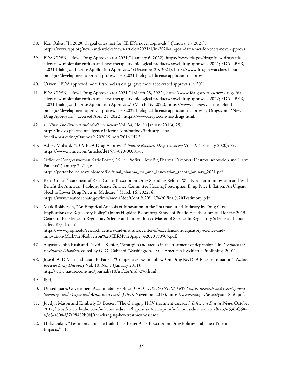- <span id="page-33-0"></span>38. Kari Oakes, "In 2020, all goal dates met for CDER's novel approvals," (January 13, 2021), https://www.raps.org/news-and-articles/news-articles/2021/1/in-2020-all-goal-dates-met-for-cders-novel-approva.
- <span id="page-33-1"></span>39. FDA CDER, "Novel Drug Approvals for 2021," (January 6, 2022), https://www.fda.gov/drugs/new-drugs-fdacders-new-molecular-entities-and-new-therapeutic-biological-products/novel-drug-approvals-2021; FDA CBER, "2021 Biological License Application Approvals," (December 20, 2021), https://www.fda.gov/vaccines-bloodbiologics/development-approval-process-cber/2021-biological-license-application-approvals.
- <span id="page-33-2"></span>40. Craven, "FDA approved more first-in-class drugs, gave more accelerated approvals in 2021."
- <span id="page-33-3"></span>41. FDA CDER, "Novel Drug Approvals for 2021," (March 28, 2022), https://www.fda.gov/drugs/new-drugs-fdacders-new-molecular-entities-and-new-therapeutic-biological-products/novel-drug-approvals-2022; FDA CBER, "2021 Biological License Application Approvals," (March 16, 2022), https://www.fda.gov/vaccines-bloodbiologics/development-approval-process-cber/2022-biological-license-application-approvals; Drugs.com, "New Drug Approvals," (accessed April 21, 2022), https://www.drugs.com/newdrugs.html.
- <span id="page-33-4"></span>42. *In Vivo: The Business and Medicine Report* Vol. 34, No. 1 (January 2016), 25, https://invivo.pharmaintelligence.informa.com/outlook/industry-data/- /media/marketing/Outlook%202019/pdfs/2016.PDF.
- <span id="page-33-5"></span>43. Ashley Mullard, "2019 FDA Drug Approvals" *Nature Reviews: Drug Discovery* Vol. 19 (February 2020): 79, https://www.nature.com/articles/d41573-020-00001-7.
- <span id="page-33-6"></span>44. Office of Congresswoman Katie Porter, "Killer Profits: How Big Pharma Takeovers Destroy Innovation and Harm Patients" (January 2021), 6, https://porter.house.gov/uploadedfiles/final\_pharma\_ma\_and\_innovation\_report\_january\_2021.pdf.
- <span id="page-33-7"></span>45. Rena Conti, "Statement of Rena Conti: Prescription Drug Spending Reform Will Not Harm Innovation and Will Benefit the American Public at Senate Finance Committee Hearing Prescription Drug Price Inflation: An Urgent Need to Lower Drug Prices in Medicare," March 16, 2022, 6, https://www.finance.senate.gov/imo/media/doc/Conti%20SFC%20Final%20Testimony.pdf.
- <span id="page-33-8"></span>46. Mark Robberson, "An Empirical Analysis of Innovation in the Pharmaceutical Industry by Drug Class: Implications for Regulatory Policy" (Johns Hopkins Bloomberg School of Public Health, submitted for the 2019 Center of Excellence in Regulatory Science and Innovation & Master of Science in Regulatory Science and Food Safety Regulation),

https://www.jhsph.edu/research/centers-and-institutes/center-of-excellence-in-regulatory-science-andinnovation/Mark%20Robberson%20CERSI%20paper%2020190505.pdf.

- <span id="page-33-9"></span>47. Augustus John Rush and David J. Kupfer, "Strategies and tactics in the treatment of depression," in *Treatment of Psychiatric Disorders*, edited by G. O. Gabbard (Washington, D.C.: American Psychiatric Publishing, 2001).
- <span id="page-33-10"></span>48. Joseph A. DiMasi and Laura B. Faden, "Competitiveness in Follow-On Drug R&D: A Race or Imitation?" *Nature Reviews Drug Discovery* Vol. 10, No. 1 (January 2011), http://www.nature.com/nrd/journal/v10/n1/abs/nrd3296.html.
- <span id="page-33-11"></span>49. Ibid.
- <span id="page-33-12"></span>50. United States Government Accountability Office (GAO), *DRUG INDUSTRY: Profits, Research and Development Spending, and Merger and Acquisition Deals* (GAO, November 2017), https://www.gao.gov/assets/gao-18-40.pdf.
- <span id="page-33-13"></span>51. Jocelyn Mason and Kimberly D. Boeser, "The changing HCV treatment cascade," *Infectious Disease News,* October 2017, https://www.healio.com/infectious-disease/hepatitis-c/news/print/infectious-disease-news/{87b74536-f358- 43d3-a804-f37a98402b0b}/the-changing-hcv-treatment-cascade.
- <span id="page-33-14"></span>52. Holtz-Eakin, "Testimony on: The Build Back Better Act's Prescription Drug Policies and Their Potential Impacts," 11.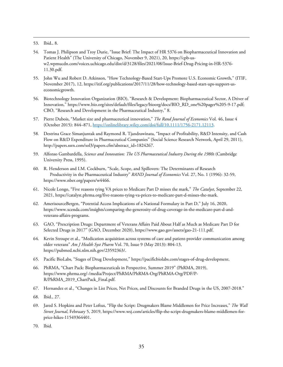<span id="page-34-0"></span>53. Ibid., 8.

- <span id="page-34-1"></span>54. Tomas J. Philipson and Troy Durie, "Issue Brief: The Impact of HR 5376 on Biopharmaceutical Innovation and Patient Health" (The University of Chicago, November 9, 2021), 20, https://cpb-usw2.wpmucdn.com/voices.uchicago.edu/dist/d/3128/files/2021/08/Issue-Brief-Drug-Pricing-in-HR-5376- 11.30.pdf.
- <span id="page-34-2"></span>55. John Wu and Robert D. Atkinson, "How Technology-Based Start-Ups Promote U.S. Economic Growth," (ITIF, November 2017), 12, https://itif.org/publications/2017/11/28/how-technology-based-start-ups-support-useconomicgrowth.
- <span id="page-34-3"></span>56. Biotechnology Innovation Organization (BIO), "Research & Development: Biopharmaceutical Sector, A Driver of Innovation," https://www.bio.org/sites/default/files/legacy/bioorg/docs/BIO\_RD\_one%20pager%205-9-17.pdf; CBO, "Research and Development in the Pharmaceutical Industry," 8.
- <span id="page-34-4"></span>57. Pierre Dubois, "Market size and pharmaceutical innovation," *The Rand Journal of Economics* Vol. 46, Issue 4 (October 2015): 844–871[, https://onlinelibrary.wiley.com/doi/full/10.1111/1756-2171.12113.](https://onlinelibrary.wiley.com/doi/full/10.1111/1756-2171.12113)
- <span id="page-34-5"></span>58. Destrina Grace Simanjuntak and Raymond R. Tjandrawinata, "Impact of Profitability, R&D Intensity, and Cash Flow on R&D Expenditure in Pharmaceutical Companies" (Social Science Research Network, April 29, 2011), [http://papers.ssrn.com/sol3/papers.cfm?abstract\\_id=1824267.](http://papers.ssrn.com/sol3/papers.cfm?abstract_id=1824267)
- <span id="page-34-6"></span>59. Alfonso Gambardella, *Science and Innovation: The US Pharmaceutical Industry During the 1980s* (Cambridge University Press, 1995).
- <span id="page-34-7"></span>60. R. Henderson and I.M. Cockburn, "Scale, Scope, and Spillovers: The Determinants of Research Productivity in the Pharmaceutical Industry" *RAND Journal of Economics* Vol. 27, No. 1 (1996): 32-59, https://www.nber.org/papers/w4466.
- <span id="page-34-8"></span>61. Nicole Longo, "Five reasons tying VA prices to Medicare Part D misses the mark," *The Catalyst*, September 22, 2021, https://catalyst.phrma.org/five-reasons-tying-va-prices-to-medicare-part-d-misses-the-mark.
- <span id="page-34-9"></span>62. AmerisourceBergen, "Potential Access Implications of a National Formulary in Part D," July 16, 2020, https://www.xcenda.com/insights/comparing-the-generosity-of-drug-coverage-in-the-medicare-part-d-andveterans-affairs-programs.
- <span id="page-34-10"></span>63. GAO, "Prescription Drugs: Department of Veterans Affairs Paid About Half as Much as Medicare Part D for Selected Drugs in 2017" (GAO, December 2020), https://www.gao.gov/assets/gao-21-111.pdf.
- <span id="page-34-11"></span>64. Kevin Stroupe et al., "Medication acquisition across systems of care and patient-provider communication among older veterans" *Am J Health Syst Pharm* Vol. 70, Issue 9 (May 2013): 804-13, https://pubmed.ncbi.nlm.nih.gov/23592363/.
- <span id="page-34-12"></span>65. Pacific BioLabs, "Stages of Drug Development," https://pacificbiolabs.com/stages-of-drug-development.
- <span id="page-34-13"></span>66. PhRMA, "Chart Pack: Biopharmaceuticals in Perspective, Summer 2019" (PhRMA, 2019), https://www.phrma.org/-/media/Project/PhRMA/PhRMA-Org/PhRMA-Org/PDF/P-R/PhRMA\_2019\_ChartPack\_Final.pdf.
- <span id="page-34-14"></span>67. Hernandez et al., "Changes in List Prices, Net Prices, and Discounts for Branded Drugs in the US, 2007-2018."
- <span id="page-34-15"></span>68. Ibid., 27.
- <span id="page-34-16"></span>69. Jared S. Hopkins and Peter Loftus, "Flip the Script: Drugmakers Blame Middlemen for Price Increases," *The Wall Street Journal*, February 5, 2019, https://www.wsj.com/articles/flip-the-script-drugmakers-blame-middlemen-forprice-hikes-11549364401.
- <span id="page-34-17"></span>70. Ibid.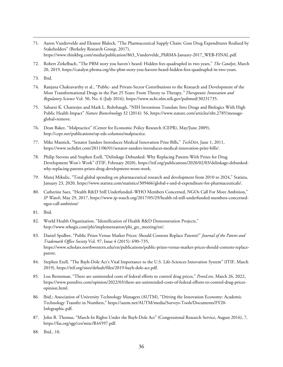- <span id="page-35-0"></span>71. Aaron Vandervelde and Eleanor Blalock, "The Pharmaceutical Supply Chain: Goss Drug Expenditures Realized by Stakeholders" (Berkeley Research Group, 2017), https://www.thinkbrg.com/media/publication/863\_Vandervelde\_PhRMA-January-2017\_WEB-FINAL.pdf.
- <span id="page-35-1"></span>72. Robert Zirkelbach, "The PBM story you haven't heard: Hidden fees quadrupled in two years," *The Catalyst*, March 20, 2019, https://catalyst.phrma.org/the-pbm-story-you-havent-heard-hidden-fees-quadrupled-in-two-years.
- <span id="page-35-2"></span>73. Ibid.
- <span id="page-35-3"></span>74. Ranjana Chakravarthy et al., "Public- and Private-Sector Contributions to the Research and Development of the Most Transformational Drugs in the Past 25 Years: From Theory to Therapy,*" Therapeutic Innovation and Regulatory Science* Vol. 50, No. 6 (July 2016), https://www.ncbi.nlm.nih.gov/pubmed/30231735.
- <span id="page-35-4"></span>75. Sabarni K. Chatterjee and Mark L. Rohrbaugh, "NIH Inventions Translate Into Drugs and Biologics With High Public Health Impact" *Nature Biotechnology* 32 (2014): 56, https://www.nature.com/articles/nbt.2785?messageglobal=remove.
- <span id="page-35-5"></span>76. Dean Baker, "Malpractice" (Center for Economic Policy Research (CEPR), May/June 2009), http://cepr.net/publications/op-eds-columns/malpractice.
- <span id="page-35-6"></span>77. Mike Masnick, "Senator Sanders Introduces Medical Innovation Prize Bills," *TechDirt*, June 1, 2011, https://www.techdirt.com/2011/06/01/senator-sanders-introduces-medical-innovation-prize-bills/.
- <span id="page-35-7"></span>78. Philip Stevens and Stephen Ezell, "Delinkage Debunked: Why Replacing Patents With Prizes for Drug Development Won't Work" (ITIF, February 2020), https://itif.org/publications/2020/02/03/delinkage-debunkedwhy-replacing-patents-prizes-drug-development-wont-work.
- <span id="page-35-8"></span>79. Matej Mikulic, "Total global spending on pharmaceutical research and development from 2010 to 2024," Statista, January 23, 2020, https://www.statista.com/statistics/309466/global-r-and-d-expenditure-for-pharmaceuticals/.
- <span id="page-35-9"></span>80. Catherine Saez, "Health R&D Still Underfunded–WHO Members Concerned, NGOs Call For More Ambition," *IP Watch*, May 29, 2017, https://www.ip-watch.org/2017/05/29/health-rd-still-underfunded-members-concernedngos-call-ambition/
- <span id="page-35-10"></span>81. Ibid.
- <span id="page-35-11"></span>82. World Health Organization, "Identification of Health R&D Demonstration Projects," http://www.whogis.com/phi/implementation/phi\_gtc\_meeting/en/.
- <span id="page-35-12"></span>83. Daniel Spulber, "Public Prizes Versus Market Prices: Should Contests Replace Patents?" *Journal of the Patent and Trademark Office Society* Vol. 97, Issue 4 (2015): 690–735, https://www.scholars.northwestern.edu/en/publications/public-prizes-versus-market-prices-should-contests-replacepatent.
- <span id="page-35-13"></span>84. Stephen Ezell, "The Bayh-Dole Act's Vital Importance to the U.S. Life-Sciences Innovation System" (ITIF, March 2019), https://itif.org/sites/default/files/2019-bayh-dole-act.pdf.
- <span id="page-35-14"></span>85. Lou Berneman, "There are unintended costs of federal efforts to control drug prices," *PennLive*, March 26, 2022, https://www.pennlive.com/opinion/2022/03/there-are-unintended-costs-of-federal-efforts-to-control-drug-pricesopinion.html.
- <span id="page-35-15"></span>86. Ibid.; Association of University Technology Managers (AUTM), "Driving the Innovation Economy: Academic Technology Transfer in Numbers," https://autm.net/AUTM/media/Surveys-Tools/Documents/FY20- Infographic.pdf.
- <span id="page-35-16"></span>87. John R. Thomas, "March-In Rights Under the Bayh-Dole Act" (Congressional Research Service, August 2016), 7, https://fas.org/sgp/crs/misc/R44597.pdf.
- <span id="page-35-17"></span>88. Ibid., 10.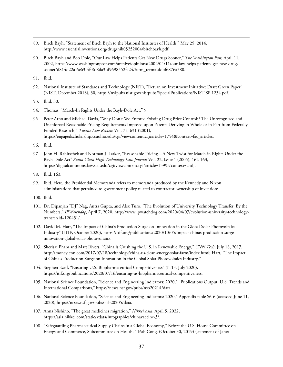- <span id="page-36-0"></span>89. Birch Bayh, "Statement of Birch Bayh to the National Institutes of Health," May 25, 2014, [http://www.essentialinventions.org/drug/nih05252004/birchbayh.pdf.](http://www.essentialinventions.org/drug/nih05252004/birchbayh.pdf)
- <span id="page-36-1"></span>90. Birch Bayh and Bob Dole, "Our Law Helps Patients Get New Drugs Sooner," *The Washington Post*, April 11, 2002, https://www.washingtonpost.com/archive/opinions/2002/04/11/our-law-helps-patients-get-new-drugssooner/d814d22a-6e63-4f06-8da3-d9698552fa24/?utm\_term=.ddbf6876a380.

<span id="page-36-2"></span>91. Ibid.

- <span id="page-36-3"></span>92. National Institute of Standards and Technology (NIST), "Return on Investment Initiative: Draft Green Paper" (NIST, December 2018), 30, https://nvlpubs.nist.gov/nistpubs/SpecialPublications/NIST.SP.1234.pdf.
- <span id="page-36-4"></span>93. Ibid, 30.
- <span id="page-36-5"></span>94. Thomas, "March-In Rights Under the Bayh-Dole Act," 9.
- <span id="page-36-6"></span>95. Peter Arno and Michael Davis, "Why Don't We Enforce Existing Drug Price Controls? The Unrecognized and Unenforced Reasonable Pricing Requirements Imposed upon Patents Deriving in Whole or in Part from Federally Funded Research," *Tulane Law Review* Vol. 75, 631 (2001), https://engagedscholarship.csuohio.edu/cgi/viewcontent.cgi?article=1754&context=fac\_articles.
- <span id="page-36-7"></span>96. Ibid.
- <span id="page-36-8"></span>97. John H. Rabitschek and Norman J. Latker, "Reasonable Pricing—A New Twist for March-in Rights Under the Bayh-Dole Act" *Santa Clara High Technology Law Journal* Vol. 22, Issue 1 (2005), 162-163, https://digitalcommons.law.scu.edu/cgi/viewcontent.cgi?article=1399&context=chtlj.
- <span id="page-36-9"></span>98. Ibid, 163.
- <span id="page-36-10"></span>99. Ibid. Here, the Presidential Memoranda refers to memoranda produced by the Kennedy and Nixon administrations that pertained to government policy related to contractor ownership of inventions.
- <span id="page-36-11"></span>100. Ibid.
- <span id="page-36-12"></span>101. Dr. Dipanjan "DJ" Nag, Antra Gupta, and Alex Turo, "The Evolution of University Technology Transfer: By the Numbers," *IPWatchdog*, April 7, 2020, http://www.ipwatchdog.com/2020/04/07/evolution-university-technologytransfer/id=120451/.
- <span id="page-36-13"></span>102. David M. Hart, "The Impact of China's Production Surge on Innovation in the Global Solar Photovoltaics Industry" (ITIF, October 2020), https://itif.org/publications/2020/10/05/impact-chinas-production-surgeinnovation-global-solar-photovoltaics.
- <span id="page-36-14"></span>103. Sherisse Pham and Matt Rivers, "China is Crushing the U.S. in Renewable Energy," *CNN Tech*, July 18, 2017, http://money.cnn.com/2017/07/18/technology/china-us-clean-energy-solar-farm/index.html; Hart, "The Impact of China's Production Surge on Innovation in the Global Solar Photovoltaics Industry."
- <span id="page-36-15"></span>104. Stephen Ezell, "Ensuring U.S. Biopharmaceutical Competitiveness" (ITIF, July 2020), https://itif.org/publications/2020/07/16/ensuring-us-biopharmaceutical-competitiveness.
- <span id="page-36-16"></span>105. National Science Foundation, "Science and Engineering Indicators: 2020," "Publications Output: U.S. Trends and International Comparisons," https://ncses.nsf.gov/pubs/nsb20214/data.
- <span id="page-36-17"></span>106. National Science Foundation, "Science and Engineering Indicators: 2020," Appendix table S6-6 (accessed June 11, 2020), https://ncses.nsf.gov/pubs/nsb20205/data.
- <span id="page-36-18"></span>107. Anna Nishino, "The great medicines migration," *Nikkei Asia*, April 5, 2022, https://asia.nikkei.com/static/vdata/infographics/chinavaccine-3/.
- <span id="page-36-19"></span>108. "Safeguarding Pharmaceutical Supply Chains in a Global Economy," Before the U.S. House Committee on Energy and Commerce, Subcommittee on Health, 116th Cong. (October 30, 2019) (statement of Janet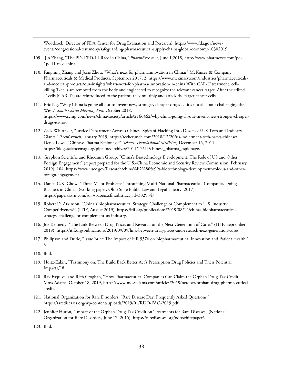Woodcock, Director of FDA Center for Drug Evaluation and Research), https://www.fda.gov/newsevents/congressional-testimony/safeguarding-pharmaceutical-supply-chains-global-economy-10302019.

- <span id="page-37-0"></span>109. .Jin Zhang, "The PD-1/PD-L1 Race in China," *PharmExec.com*, June 1,2018, http://www.pharmexec.com/pd-1pd-l1-race-china.
- <span id="page-37-1"></span>110. Fangning Zhang and Josie Zhou, "What's next for pharmainnovation in China?" McKinsey & Company Pharmaceuticals & Medical Products, September 2017, 2, https://www.mckinsey.com/industries/pharmaceuticalsand-medical-products/our-insights/whats-next-for-pharma-innovation-in-china.With CAR-T treatment, cellkilling T-cells are removed from the body and engineered to recognize the relevant cancer target. After the edited T-cells (CAR-Ts) are reintroduced to the patient, they multiply and attack the target cancer cells.
- <span id="page-37-2"></span>111. Eric Ng, "Why China is going all out to invent new, stronger, cheaper drugs … it's not all about challenging the West," *South China Morning Post*, October 2018, https://www.scmp.com/news/china/society/article/2166462/why-china-going-all-out-invent-new-stronger-cheaperdrugs-its-not.
- <span id="page-37-3"></span>112. Zack Whittaker, "Justice Department Accuses Chinese Spies of Hacking Into Dozens of US Tech and Industry Giants," *TechCrunch,* January 2019, [https://techcrunch.com/2018/12/20/us-indictment-tech-hacks-chinese/;](https://techcrunch.com/2018/12/20/us-indictment-tech-hacks-chinese/) Derek Lowe, "Chinese Pharma Espionage?" *Science Translational Medicine,* December 15, 2011, [https://blogs.sciencemag.org/pipeline/archives/2011/12/15/chinese\\_pharma\\_espionage.](https://blogs.sciencemag.org/pipeline/archives/2011/12/15/chinese_pharma_espionage)
- <span id="page-37-4"></span>113. Gryphon Scientific and Rhodium Group, "China's Biotechnology Development: The Role of US and Other Foreign Engagement" (report prepared for the U.S.-China Economic and Security Review Commission, February 2019), 104[, https://www.uscc.gov/Research/china%E2%80%99s-biotechnology-development-role-us-and-other](https://www.uscc.gov/Research/china%E2%80%99s-biotechnology-development-role-us-and-other-foreign-engagement)[foreign-engagement.](https://www.uscc.gov/Research/china%E2%80%99s-biotechnology-development-role-us-and-other-foreign-engagement)
- <span id="page-37-5"></span>114. Daniel C.K. Chow, "Three Major Problems Threatening Multi-National Pharmaceutical Companies Doing Business in China" (working paper, Ohio State Public Law and Legal Theory, 2017), https://papers.ssrn.com/sol3/papers.cfm?abstract\_id=3029347.
- <span id="page-37-6"></span>115. Robert D. Atkinson, "China's Biopharmaceutical Strategy: Challenge or Complement to U.S. Industry Competitiveness?" (ITIF, August 2019), https://itif.org/publications/2019/08/12/chinas-biopharmaceuticalstrategy-challenge-or-complement-us-industry.
- <span id="page-37-7"></span>116. Joe Kennedy, "The Link Between Drug Prices and Research on the Next Generation of Cures" (ITIF, September 2019), https://itif.org/publications/2019/09/09/link-between-drug-prices-and-research-next-generation-cures.
- <span id="page-37-8"></span>117. Philipson and Durie, "Issue Brief: The Impact of HR 5376 on Biopharmaceutical Innovation and Patient Health." 3.
- <span id="page-37-9"></span>118. Ibid.
- <span id="page-37-10"></span>119. Holtz-Eakin, "Testimony on: The Build Back Better Act's Prescription Drug Policies and Their Potential Impacts," 8.
- <span id="page-37-11"></span>120. Ray Esquivel and Rich Croghan, "How Pharmaceutical Companies Can Claim the Orphan Drug Tax Credit," Moss Adams, October 18, 2019, https://www.mossadams.com/articles/2019/october/orphan-drug-pharmaceuticalcredit.
- <span id="page-37-12"></span>121. National Organization for Rare Disorders, "Rare Disease Day: Frequently Asked Questions," https://rarediseases.org/wp-content/uploads/2019/01/RDD-FAQ-2019.pdf.
- <span id="page-37-13"></span>122. Jennifer Huron, "Impact of the Orphan Drug Tax Credit on Treatments for Rare Diseases" (National Organization for Rare Disorders, June 17, 2015), https://rarediseases.org/odtcwhitepaper/.

<span id="page-37-14"></span>123. Ibid.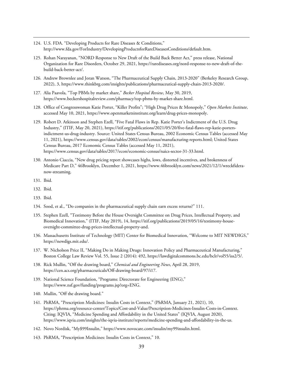- <span id="page-38-0"></span>124. U.S. FDA. "Developing Products for Rare Diseases & Conditions," http://www.fda.gov/ForIndustry/DevelopingProductsforRareDiseasesConditions/default.htm.
- <span id="page-38-1"></span>125. Rohan Narayanan, "NORD Response to New Draft of the Build Back Better Act," press release, National Organization for Rare Disorders, October 29, 2021, https://rarediseases.org/nord-response-to-new-draft-of-thebuild-back-better-act/.
- <span id="page-38-2"></span>126. Andrew Brownlee and Joran Watson, "The Pharmaceutical Supply Chain, 2013-2020" (Berkeley Research Group, 2022), 3, https://www.thinkbrg.com/insights/publications/pharmaceutical-supply-chain-2013-2020/.
- <span id="page-38-3"></span>127. Alia Paavola, "Top PBMs by market share," *Becker Hospital Review*, May 30, 2019, https://www.beckershospitalreview.com/pharmacy/top-pbms-by-market-share.html.
- <span id="page-38-4"></span>128. Office of Congresswoman Katie Porter, "Killer Profits"; "High Drug Prices & Monopoly," *Open Markets Institute*, accessed May 10, 2021, https://www.openmarketsinstitute.org/learn/drug-prices-monopoly.
- <span id="page-38-5"></span>129. Robert D. Atkinson and Stephen Ezell, "Five Fatal Flaws in Rep. Katie Porter's Indictment of the U.S. Drug Industry," (ITIF, May 20, 2021), https://itif.org/publications/2021/05/20/five-fatal-flaws-rep-katie-portersindictment-us-drug-industry. Source: United States Census Bureau, 2002 Economic Census Tables (accessed May 11, 2021), https://www.census.gov/data/tables/2002/econ/census/manufacturing-reports.html; United States Census Bureau, 2017 Economic Census Tables (accessed May 11, 2021), https://www.census.gov/data/tables/2017/econ/economic-census/naics-sector-31-33.html.
- <span id="page-38-6"></span>130. Antonio Ciaccia, "New drug pricing report showcases highs, lows, distorted incentives, and brokenness of Medicare Part D," 46Brooklyn, December 1, 2021, https://www.46brooklyn.com/news/2021/12/1/wreckfideranow-streaming.
- <span id="page-38-7"></span>131. Ibid.
- <span id="page-38-8"></span>132. Ibid.
- <span id="page-38-9"></span>133. Ibid.
- <span id="page-38-10"></span>134. Sood, et al., "Do companies in the pharmaceutical supply chain earn excess returns?" 111.
- <span id="page-38-11"></span>135. Stephen Ezell, "Testimony Before the House Oversight Committee on Drug Prices, Intellectual Property, and Biomedical Innovation," (ITIF, May 2019), 14, https://itif.org/publications/2019/05/16/testimony-houseoversight-committee-drug-prices-intellectual-property-and.
- <span id="page-38-12"></span>136. Massachusetts Institute of Technology (MIT) Center for Biomedical Innovation, "Welcome to MIT NEWDIGS," https://newdigs.mit.edu/.
- <span id="page-38-13"></span>137. W. Nicholson Price II, "Making Do in Making Drugs: Innovation Policy and Pharmaceutical Manufacturing," Boston College Law Review Vol. 55, Issue 2 (2014): 492, [https://lawdigitalcommons.bc.edu/bclr/vol55/iss2/5/.](https://lawdigitalcommons.bc.edu/bclr/vol55/iss2/5/)
- <span id="page-38-14"></span>138. Rick Mullin, "Off the drawing board," *Chemical and Engineering News*, April 28, 2019, https://cen.acs.org/pharmaceuticals/Off-drawing-board/97/i17.
- <span id="page-38-15"></span>139. National Science Foundation, "Programs: Directorate for Engineering (ENG)," https://www.nsf.gov/funding/programs.jsp?org=ENG.
- <span id="page-38-16"></span>140. Mullin, "Off the drawing board."
- <span id="page-38-17"></span>141. PhRMA, "Prescription Medicines: Insulin Costs in Context," (PhRMA, January 21, 2021), 10, https://phrma.org/resource-center/Topics/Cost-and-Value/Prescription-Medicines-Insulin-Costs-in-Context. Citing: IQVIA, "Medicine Spending and Affordability in the United States" (IQVIA, August 2020), https://www.iqvia.com/insights/the-iqvia-institute/reports/medicine-spending-and-affordability-in-the-us.
- <span id="page-38-18"></span>142. Novo Nordisk, "My\$99Insulin," https://www.novocare.com/insulin/my99insulin.html.
- <span id="page-38-19"></span>143. PhRMA, "Prescription Medicines: Insulin Costs in Context," 10.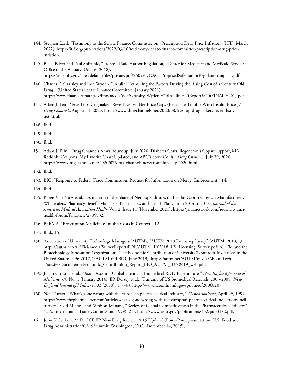- <span id="page-39-0"></span>144. Stephen Ezell, "Testimony to the Senate Finance Committee on "Prescription Drug Price Inflation" (ITIF, March 2022), https://itif.org/publications/2022/03/16/testimony-senate-finance-committee-prescription-drug-priceinflation.
- <span id="page-39-1"></span>145. Blake Pelzer and Paul Spitalnic, "Proposed Safe Harbor Regulation," Center for Medicare and Medicaid Services: Office of the Actuary, (August 2018), https://aspe.hhs.gov/sites/default/files/private/pdf/260591/OACTProposedSafeHarborRegulationImpacts.pdf.
- <span id="page-39-2"></span>146. Charles E. Grassley and Ron Wyden, "Insulin: Examining the Factors Driving the Rising Cost of a Century Old Drug," (United States Senate Finance Committee, January 2021), https://www.finance.senate.gov/imo/media/doc/Grassley-Wyden%20Insulin%20Report%20(FINAL%201).pdf.
- <span id="page-39-3"></span>147. Adam J. Fein, "Five Top Drugmakers Reveal List vs. Net Price Gaps (Plus: The Trouble With Insulin Prices)," *Drug Channels*, August 11, 2020, https://www.drugchannels.net/2020/08/five-top-drugmakers-reveal-list-vsnet.html.
- <span id="page-39-4"></span>148. Ibid.
- <span id="page-39-5"></span>149. Ibid.
- <span id="page-39-6"></span>150. Ibid.
- <span id="page-39-7"></span>151. Adam J. Fein, "Drug Channels News Roundup, July 2020: Diabetes Costs, Regeneron's Copay Support, MA Rethinks Coupons, My Favorite Chart Updated, and ABC's Steve Collis," *Drug Channels*, July 29, 2020, https://www.drugchannels.net/2020/07/drug-channels-news-roundup-july-2020.html.
- <span id="page-39-8"></span>152. Ibid.
- <span id="page-39-9"></span>153. BIO, "Response to Federal Trade Commission: Request for Information on Merger Enforcement," 14.
- <span id="page-39-10"></span>154. Ibid.
- <span id="page-39-11"></span>155. Karen Van Nuys et al. "Estimation of the Share of Net Expenditures on Insulin Captured by US Manufacturers, Wholesalers, Pharmacy Benefit Managers, Pharmacies, and Health Plans From 2014 to 2018" *Journal of the American Medical Association Health* Vol. 2, Issue 11 (November 2021), https://jamanetwork.com/journals/jamahealth-forum/fullarticle/2785932.
- <span id="page-39-12"></span>156. PhRMA, "Prescription Medicines: Insulin Costs in Context," 12.
- <span id="page-39-13"></span>157. Ibid., 15.
- <span id="page-39-14"></span>158. Association of University Technology Managers (AUTM), "AUTM 2018 Licensing Survey" (AUTM, 2018), 3, https://autm.net/AUTM/media/SurveyReportsPDF/AUTM\_FY2018\_US\_Licensing\_Survey.pdf; AUTM and the Biotechnology Innovation Organization: "The Economic Contribution of University/Nonprofit Inventions in the United States: 1996-2017," (AUTM and BIO, June 2019), https://autm.net/AUTM/media/About-Tech-Transfer/Documents/Economic\_Contribution\_Report\_BIO\_AUTM\_JUN2019\_web.pdf.
- <span id="page-39-15"></span>159. Justin Chakma et al., "Asia's Ascent—Global Trends in Biomedical R&D Expenditures" *New England Journal of Medicine* 370 No. 1 (January 2014); ER Dorsey et al., "Funding of US Biomedical Research, 2003-2008" *New England Journal of Medicine* 303 (2010): 137-43, http://www.ncbi.nlm.nih.gov/pubmed/20068207.
- <span id="page-39-16"></span>160. Neil Turner, "What's gone wrong with the European pharmaceutical industry," *Thepharmaletter*, April 29, 1999, https://www.thepharmaletter.com/article/what-s-gone-wrong-with-the-european-pharmaceutical-industry-by-neilturner; David Michels and Aimison Jonnard, "Review of Global Competitiveness in the Pharmaceutical Industry" (U.S. International Trade Commission, 1999), 2-3, https://www.usitc.gov/publications/332/pub3172.pdf.
- <span id="page-39-17"></span>161. John K. Jenkins, M.D., "CDER New Drug Review: 2015 Update" (PowerPoint presentation, U.S. Food and Drug Administration/CMS Summit, Washington, D.C., December 14, 2015),